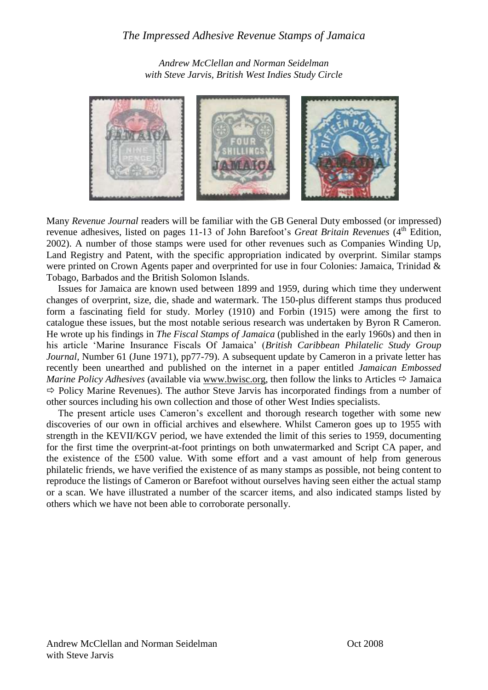*Andrew McClellan and Norman Seidelman with Steve Jarvis, British West Indies Study Circle*



Many *Revenue Journal* readers will be familiar with the GB General Duty embossed (or impressed) revenue adhesives, listed on pages 11-13 of John Barefoot's *Great Britain Revenues* (4<sup>th</sup> Edition, 2002). A number of those stamps were used for other revenues such as Companies Winding Up, Land Registry and Patent, with the specific appropriation indicated by overprint. Similar stamps were printed on Crown Agents paper and overprinted for use in four Colonies: Jamaica, Trinidad & Tobago, Barbados and the British Solomon Islands.

Issues for Jamaica are known used between 1899 and 1959, during which time they underwent changes of overprint, size, die, shade and watermark. The 150-plus different stamps thus produced form a fascinating field for study. Morley (1910) and Forbin (1915) were among the first to catalogue these issues, but the most notable serious research was undertaken by Byron R Cameron. He wrote up his findings in *The Fiscal Stamps of Jamaica* (published in the early 1960s) and then in his article "Marine Insurance Fiscals Of Jamaica" (*British Caribbean Philatelic Study Group Journal*, Number 61 (June 1971), pp77-79). A subsequent update by Cameron in a private letter has recently been unearthed and published on the internet in a paper entitled *Jamaican Embossed Marine Policy Adhesives* (available via www.bwisc.org, then follow the links to Articles  $\Rightarrow$  Jamaica  $\Rightarrow$  Policy Marine Revenues). The author Steve Jarvis has incorporated findings from a number of other sources including his own collection and those of other West Indies specialists.

The present article uses Cameron's excellent and thorough research together with some new discoveries of our own in official archives and elsewhere. Whilst Cameron goes up to 1955 with strength in the KEVII/KGV period, we have extended the limit of this series to 1959, documenting for the first time the overprint-at-foot printings on both unwatermarked and Script CA paper, and the existence of the £500 value. With some effort and a vast amount of help from generous philatelic friends, we have verified the existence of as many stamps as possible, not being content to reproduce the listings of Cameron or Barefoot without ourselves having seen either the actual stamp or a scan. We have illustrated a number of the scarcer items, and also indicated stamps listed by others which we have not been able to corroborate personally.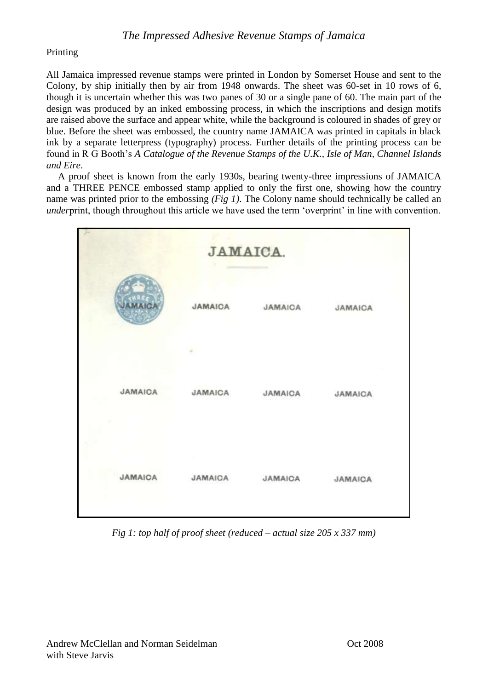#### Printing

All Jamaica impressed revenue stamps were printed in London by Somerset House and sent to the Colony, by ship initially then by air from 1948 onwards. The sheet was 60-set in 10 rows of 6, though it is uncertain whether this was two panes of 30 or a single pane of 60. The main part of the design was produced by an inked embossing process, in which the inscriptions and design motifs are raised above the surface and appear white, while the background is coloured in shades of grey or blue. Before the sheet was embossed, the country name JAMAICA was printed in capitals in black ink by a separate letterpress (typography) process. Further details of the printing process can be found in R G Booth"s *A Catalogue of the Revenue Stamps of the U.K., Isle of Man, Channel Islands and Eire*.

A proof sheet is known from the early 1930s, bearing twenty-three impressions of JAMAICA and a THREE PENCE embossed stamp applied to only the first one, showing how the country name was printed prior to the embossing *(Fig 1)*. The Colony name should technically be called an *under*print, though throughout this article we have used the term 'overprint' in line with convention.



*Fig 1: top half of proof sheet (reduced – actual size 205 x 337 mm)*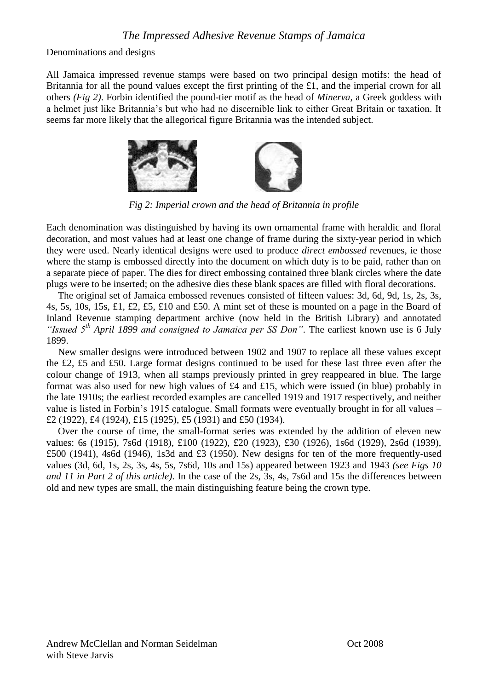Denominations and designs

All Jamaica impressed revenue stamps were based on two principal design motifs: the head of Britannia for all the pound values except the first printing of the £1, and the imperial crown for all others *(Fig 2)*. Forbin identified the pound-tier motif as the head of *Minerva*, a Greek goddess with a helmet just like Britannia"s but who had no discernible link to either Great Britain or taxation. It seems far more likely that the allegorical figure Britannia was the intended subject.



*Fig 2: Imperial crown and the head of Britannia in profile*

Each denomination was distinguished by having its own ornamental frame with heraldic and floral decoration, and most values had at least one change of frame during the sixty-year period in which they were used. Nearly identical designs were used to produce *direct embossed* revenues, ie those where the stamp is embossed directly into the document on which duty is to be paid, rather than on a separate piece of paper. The dies for direct embossing contained three blank circles where the date plugs were to be inserted; on the adhesive dies these blank spaces are filled with floral decorations.

The original set of Jamaica embossed revenues consisted of fifteen values: 3d, 6d, 9d, 1s, 2s, 3s, 4s, 5s, 10s, 15s, £1, £2, £5, £10 and £50. A mint set of these is mounted on a page in the Board of Inland Revenue stamping department archive (now held in the British Library) and annotated *"Issued 5th April 1899 and consigned to Jamaica per SS Don"*. The earliest known use is 6 July 1899.

New smaller designs were introduced between 1902 and 1907 to replace all these values except the £2, £5 and £50. Large format designs continued to be used for these last three even after the colour change of 1913, when all stamps previously printed in grey reappeared in blue. The large format was also used for new high values of £4 and £15, which were issued (in blue) probably in the late 1910s; the earliest recorded examples are cancelled 1919 and 1917 respectively, and neither value is listed in Forbin's 1915 catalogue. Small formats were eventually brought in for all values – £2 (1922), £4 (1924), £15 (1925), £5 (1931) and £50 (1934).

Over the course of time, the small-format series was extended by the addition of eleven new values: 6s (1915), 7s6d (1918), £100 (1922), £20 (1923), £30 (1926), 1s6d (1929), 2s6d (1939), £500 (1941), 4s6d (1946), 1s3d and £3 (1950). New designs for ten of the more frequently-used values (3d, 6d, 1s, 2s, 3s, 4s, 5s, 7s6d, 10s and 15s) appeared between 1923 and 1943 *(see Figs 10 and 11 in Part 2 of this article)*. In the case of the 2s, 3s, 4s, 7s6d and 15s the differences between old and new types are small, the main distinguishing feature being the crown type.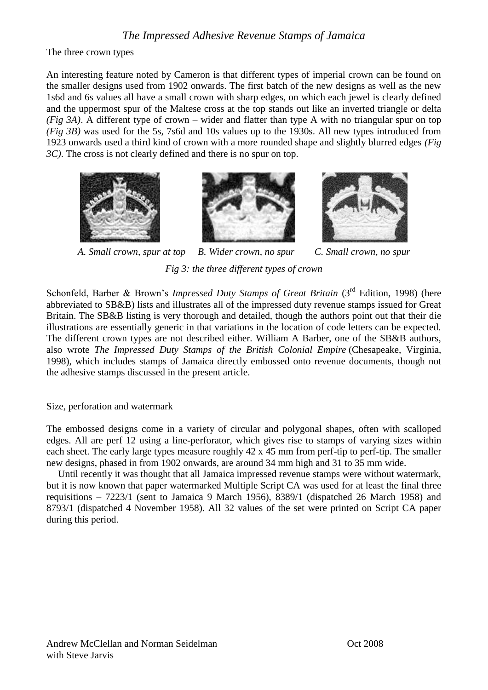The three crown types

An interesting feature noted by Cameron is that different types of imperial crown can be found on the smaller designs used from 1902 onwards. The first batch of the new designs as well as the new 1s6d and 6s values all have a small crown with sharp edges, on which each jewel is clearly defined and the uppermost spur of the Maltese cross at the top stands out like an inverted triangle or delta *(Fig 3A)*. A different type of crown – wider and flatter than type A with no triangular spur on top *(Fig 3B)* was used for the 5s, 7s6d and 10s values up to the 1930s. All new types introduced from 1923 onwards used a third kind of crown with a more rounded shape and slightly blurred edges *(Fig 3C)*. The cross is not clearly defined and there is no spur on top.







*A. Small crown, spur at top B. Wider crown, no spur C. Small crown, no spur Fig 3: the three different types of crown*

Schonfeld, Barber & Brown's *Impressed Duty Stamps of Great Britain* (3<sup>rd</sup> Edition, 1998) (here abbreviated to SB&B) lists and illustrates all of the impressed duty revenue stamps issued for Great Britain. The SB&B listing is very thorough and detailed, though the authors point out that their die illustrations are essentially generic in that variations in the location of code letters can be expected. The different crown types are not described either. William A Barber, one of the SB&B authors, also wrote *The Impressed Duty Stamps of the British Colonial Empire* (Chesapeake, Virginia, 1998), which includes stamps of Jamaica directly embossed onto revenue documents, though not the adhesive stamps discussed in the present article.

Size, perforation and watermark

The embossed designs come in a variety of circular and polygonal shapes, often with scalloped edges. All are perf 12 using a line-perforator, which gives rise to stamps of varying sizes within each sheet. The early large types measure roughly 42 x 45 mm from perf-tip to perf-tip. The smaller new designs, phased in from 1902 onwards, are around 34 mm high and 31 to 35 mm wide.

Until recently it was thought that all Jamaica impressed revenue stamps were without watermark, but it is now known that paper watermarked Multiple Script CA was used for at least the final three requisitions – 7223/1 (sent to Jamaica 9 March 1956), 8389/1 (dispatched 26 March 1958) and 8793/1 (dispatched 4 November 1958). All 32 values of the set were printed on Script CA paper during this period.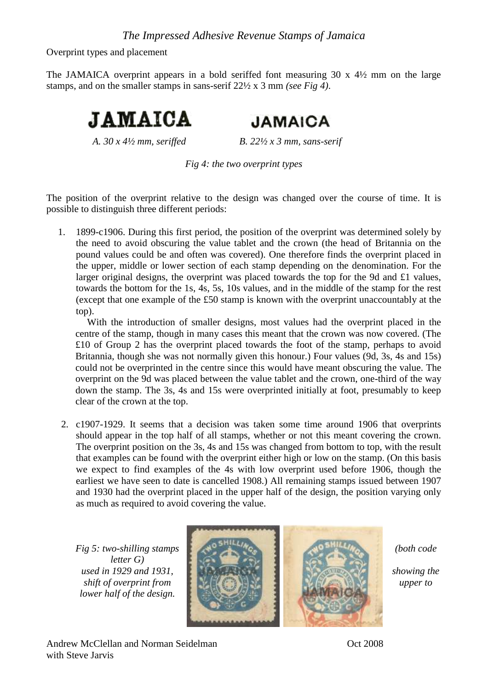Overprint types and placement

The JAMAICA overprint appears in a bold seriffed font measuring 30 x 4½ mm on the large stamps, and on the smaller stamps in sans-serif 22½ x 3 mm *(see Fig 4)*.



**JAMAICA** 

*A. 30 x 4½ mm, seriffed B. 22½ x 3 mm, sans-serif*

*Fig 4: the two overprint types*

The position of the overprint relative to the design was changed over the course of time. It is possible to distinguish three different periods:

1. 1899-c1906. During this first period, the position of the overprint was determined solely by the need to avoid obscuring the value tablet and the crown (the head of Britannia on the pound values could be and often was covered). One therefore finds the overprint placed in the upper, middle or lower section of each stamp depending on the denomination. For the larger original designs, the overprint was placed towards the top for the 9d and £1 values, towards the bottom for the 1s, 4s, 5s, 10s values, and in the middle of the stamp for the rest (except that one example of the £50 stamp is known with the overprint unaccountably at the top).

With the introduction of smaller designs, most values had the overprint placed in the centre of the stamp, though in many cases this meant that the crown was now covered. (The £10 of Group 2 has the overprint placed towards the foot of the stamp, perhaps to avoid Britannia, though she was not normally given this honour.) Four values (9d, 3s, 4s and 15s) could not be overprinted in the centre since this would have meant obscuring the value. The overprint on the 9d was placed between the value tablet and the crown, one-third of the way down the stamp. The 3s, 4s and 15s were overprinted initially at foot, presumably to keep clear of the crown at the top.

2. c1907-1929. It seems that a decision was taken some time around 1906 that overprints should appear in the top half of all stamps, whether or not this meant covering the crown. The overprint position on the 3s, 4s and 15s was changed from bottom to top, with the result that examples can be found with the overprint either high or low on the stamp. (On this basis we expect to find examples of the 4s with low overprint used before 1906, though the earliest we have seen to date is cancelled 1908.) All remaining stamps issued between 1907 and 1930 had the overprint placed in the upper half of the design, the position varying only as much as required to avoid covering the value.

*letter G) lower half of the design.*

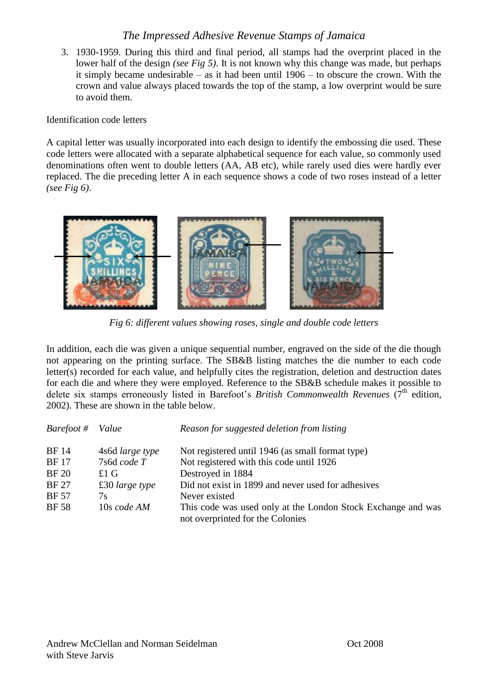3. 1930-1959. During this third and final period, all stamps had the overprint placed in the lower half of the design *(see Fig 5)*. It is not known why this change was made, but perhaps it simply became undesirable – as it had been until 1906 – to obscure the crown. With the crown and value always placed towards the top of the stamp, a low overprint would be sure to avoid them.

Identification code letters

A capital letter was usually incorporated into each design to identify the embossing die used. These code letters were allocated with a separate alphabetical sequence for each value, so commonly used denominations often went to double letters (AA, AB etc), while rarely used dies were hardly ever replaced. The die preceding letter A in each sequence shows a code of two roses instead of a letter *(see Fig 6)*.



*Fig 6: different values showing roses, single and double code letters*

In addition, each die was given a unique sequential number, engraved on the side of the die though not appearing on the printing surface. The SB&B listing matches the die number to each code letter(s) recorded for each value, and helpfully cites the registration, deletion and destruction dates for each die and where they were employed. Reference to the SB&B schedule makes it possible to delete six stamps erroneously listed in Barefoot's *British Commonwealth Revenues* (7<sup>th</sup> edition, 2002). These are shown in the table below.

| Barefoot #   | Value                   | Reason for suggested deletion from listing                                                       |
|--------------|-------------------------|--------------------------------------------------------------------------------------------------|
| <b>BF</b> 14 | 4s6d large type         | Not registered until 1946 (as small format type)                                                 |
| <b>BF17</b>  | 7s6d code T             | Not registered with this code until 1926                                                         |
| <b>BF 20</b> | £1 $\,G$                | Destroyed in 1884                                                                                |
| <b>BF27</b>  | $\pounds 30$ large type | Did not exist in 1899 and never used for adhesives                                               |
| <b>BF</b> 57 | 7s                      | Never existed                                                                                    |
| <b>BF</b> 58 | 10s code AM             | This code was used only at the London Stock Exchange and was<br>not overprinted for the Colonies |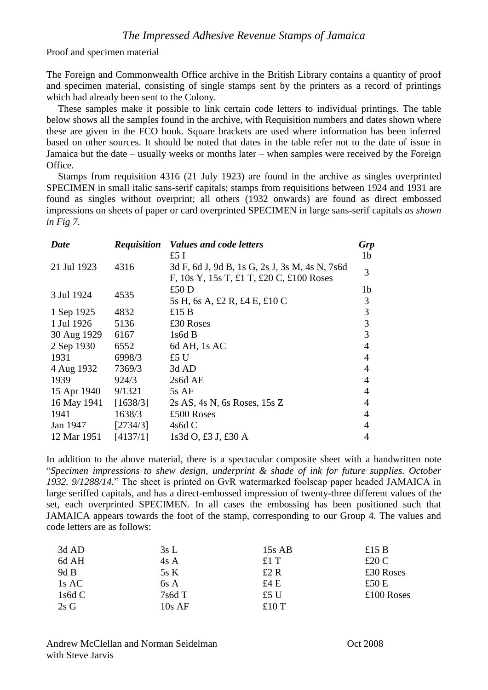Proof and specimen material

The Foreign and Commonwealth Office archive in the British Library contains a quantity of proof and specimen material, consisting of single stamps sent by the printers as a record of printings which had already been sent to the Colony.

These samples make it possible to link certain code letters to individual printings. The table below shows all the samples found in the archive, with Requisition numbers and dates shown where these are given in the FCO book. Square brackets are used where information has been inferred based on other sources. It should be noted that dates in the table refer not to the date of issue in Jamaica but the date – usually weeks or months later – when samples were received by the Foreign Office.

Stamps from requisition 4316 (21 July 1923) are found in the archive as singles overprinted SPECIMEN in small italic sans-serif capitals; stamps from requisitions between 1924 and 1931 are found as singles without overprint; all others (1932 onwards) are found as direct embossed impressions on sheets of paper or card overprinted SPECIMEN in large sans-serif capitals *as shown in Fig 7*.

| <b>Date</b> | <b>Requisition</b> | Values and code letters                        | <b>Grp</b>     |
|-------------|--------------------|------------------------------------------------|----------------|
|             |                    | £5 I                                           | 1 <sub>b</sub> |
| 21 Jul 1923 | 4316               | 3d F, 6d J, 9d B, 1s G, 2s J, 3s M, 4s N, 7s6d | 3              |
|             |                    | F, 10s Y, 15s T, £1 T, £20 C, £100 Roses       |                |
| 3 Jul 1924  | 4535               | £50 D                                          | 1b             |
|             |                    | 5s H, 6s A, £2 R, £4 E, £10 C                  | 3              |
| 1 Sep 1925  | 4832               | £15 $B$                                        | $\mathfrak{Z}$ |
| 1 Jul 1926  | 5136               | £30 Roses                                      | 3              |
| 30 Aug 1929 | 6167               | 1s6dB                                          | 3              |
| 2 Sep 1930  | 6552               | 6d AH, 1s AC                                   | 4              |
| 1931        | 6998/3             | £5 U                                           | 4              |
| 4 Aug 1932  | 7369/3             | 3d AD                                          | 4              |
| 1939        | 924/3              | $2s6d$ AE                                      | 4              |
| 15 Apr 1940 | 9/1321             | 5s AF                                          | $\overline{4}$ |
| 16 May 1941 | [1638/3]           | $2s$ AS, 4s N, 6s Roses, 15s Z                 | 4              |
| 1941        | 1638/3             | £500 Roses                                     | 4              |
| Jan 1947    | [2734/3]           | 4s6dC                                          | 4              |
| 12 Mar 1951 | [4137/1]           | 1s3d O, £3 J, £30 A                            | 4              |

In addition to the above material, there is a spectacular composite sheet with a handwritten note "*Specimen impressions to shew design, underprint & shade of ink for future supplies. October 1932. 9/1288/14.*" The sheet is printed on GvR watermarked foolscap paper headed JAMAICA in large seriffed capitals, and has a direct-embossed impression of twenty-three different values of the set, each overprinted SPECIMEN. In all cases the embossing has been positioned such that JAMAICA appears towards the foot of the stamp, corresponding to our Group 4. The values and code letters are as follows:

| 3d AD    | 3sL      | $15s$ AB | £15 $B$      |
|----------|----------|----------|--------------|
| 6d AH    | 4s A     | £1 $T$   | £20 C        |
| $9d$ B   | 5sK      | £2 R     | £30 Roses    |
| 1s AC    | 6s A     | £4 E     | £50 $E$      |
| 1s6d $C$ | 7s6dT    | £5 U     | $£100$ Roses |
| $2s$ G   | $10s$ AF | £10 $T$  |              |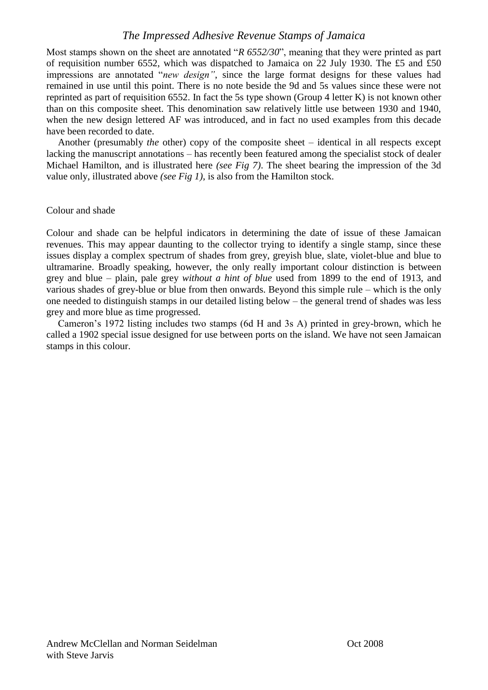Most stamps shown on the sheet are annotated "*R 6552/30*", meaning that they were printed as part of requisition number 6552, which was dispatched to Jamaica on 22 July 1930. The £5 and £50 impressions are annotated "*new design"*, since the large format designs for these values had remained in use until this point. There is no note beside the 9d and 5s values since these were not reprinted as part of requisition 6552. In fact the 5s type shown (Group 4 letter K) is not known other than on this composite sheet. This denomination saw relatively little use between 1930 and 1940, when the new design lettered AF was introduced, and in fact no used examples from this decade have been recorded to date.

Another (presumably *the* other) copy of the composite sheet – identical in all respects except lacking the manuscript annotations – has recently been featured among the specialist stock of dealer Michael Hamilton, and is illustrated here *(see Fig 7)*. The sheet bearing the impression of the 3d value only, illustrated above *(see Fig 1)*, is also from the Hamilton stock.

#### Colour and shade

Colour and shade can be helpful indicators in determining the date of issue of these Jamaican revenues. This may appear daunting to the collector trying to identify a single stamp, since these issues display a complex spectrum of shades from grey, greyish blue, slate, violet-blue and blue to ultramarine. Broadly speaking, however, the only really important colour distinction is between grey and blue – plain, pale grey *without a hint of blue* used from 1899 to the end of 1913, and various shades of grey-blue or blue from then onwards. Beyond this simple rule – which is the only one needed to distinguish stamps in our detailed listing below – the general trend of shades was less grey and more blue as time progressed.

Cameron"s 1972 listing includes two stamps (6d H and 3s A) printed in grey-brown, which he called a 1902 special issue designed for use between ports on the island. We have not seen Jamaican stamps in this colour.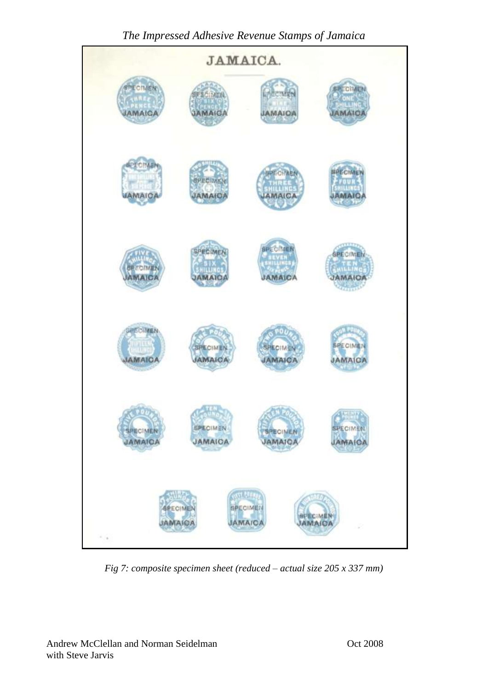

*Fig 7: composite specimen sheet (reduced – actual size 205 x 337 mm)*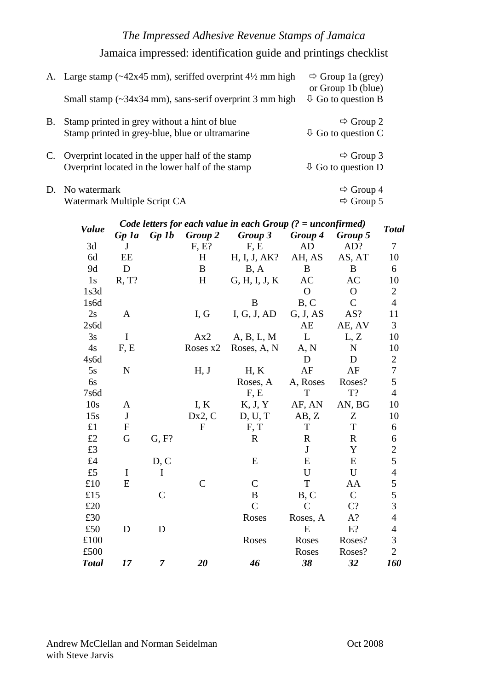Jamaica impressed: identification guide and printings checklist

|    | A. Large stamp $(\sim 42x45 \text{ mm})$ , seriffed overprint $4\frac{1}{2}$ mm high<br>Small stamp $(\sim 34x34 \text{ mm})$ , sans-serif overprint 3 mm high | $\Rightarrow$ Group 1a (grey)<br>or Group 1b (blue)<br>$\overline{\psi}$ Go to question B |
|----|----------------------------------------------------------------------------------------------------------------------------------------------------------------|-------------------------------------------------------------------------------------------|
| B. | Stamp printed in grey without a hint of blue<br>Stamp printed in grey-blue, blue or ultramarine                                                                | $\Rightarrow$ Group 2<br>$\overline{\psi}$ Go to question C                               |
| C. | Overprint located in the upper half of the stamp<br>Overprint located in the lower half of the stamp                                                           | $\Rightarrow$ Group 3<br>$\overline{\psi}$ Go to question D                               |
|    | D. No watermark<br>Watermark Multiple Script CA                                                                                                                | $\Rightarrow$ Group 4<br>$\Rightarrow$ Group 5                                            |

|              | Code letters for each value in each Group $(2 = unconfirmed)$ |                |              |                |                |               |                  |  |
|--------------|---------------------------------------------------------------|----------------|--------------|----------------|----------------|---------------|------------------|--|
| <b>Value</b> | $Gp$ 1a                                                       | Gp1b           | Group 2      | Group 3        | Group 4        | Group 5       | <b>Total</b>     |  |
| 3d           | J                                                             |                | F, E?        | F, E           | <b>AD</b>      | AD?           | 7                |  |
| 6d           | EE                                                            |                | H            | H, I, J, AK?   | AH, AS         | AS, AT        | 10               |  |
| 9d           | D                                                             |                | B            | B, A           | B              | B             | 6                |  |
| 1s           | R, T?                                                         |                | H            | G, H, I, J, K  | AC             | AC            | 10               |  |
| 1s3d         |                                                               |                |              |                | $\overline{O}$ | $\mathbf{O}$  | $\sqrt{2}$       |  |
| 1s6d         |                                                               |                |              | B              | B, C           | $\mathcal{C}$ | $\overline{4}$   |  |
| 2s           | A                                                             |                | I, G         | I, G, J, AD    | G, J, AS       | AS?           | 11               |  |
| 2s6d         |                                                               |                |              |                | AE             | AE, AV        | 3                |  |
| 3s           | I                                                             |                | Ax2          | A, B, L, M     | L              | L, Z          | 10               |  |
| 4s           | F, E                                                          |                | Roses x2     | Roses, A, N    | A, N           | $\mathbf N$   | 10               |  |
| 4s6d         |                                                               |                |              |                | D              | D             | $\boldsymbol{2}$ |  |
| 5s           | $\mathbf N$                                                   |                | H, J         | H, K           | AF             | AF            | $\overline{7}$   |  |
| 6s           |                                                               |                |              | Roses, A       | A, Roses       | Roses?        | 5                |  |
| 7s6d         |                                                               |                |              | F, E           | T              | T?            | $\overline{4}$   |  |
| 10s          | A                                                             |                | I, K         | K, J, Y        | AF, AN         | AN, BG        | 10               |  |
| 15s          | $\mathbf{J}$                                                  |                | Dx2, C       | D, U, T        | AB, Z          | Z             | 10               |  |
| £1           | $\mathbf{F}$                                                  |                | $\mathbf{F}$ | F, T           | T              | T             | 6                |  |
| £2           | G                                                             | G, F?          |              | $\mathbf R$    | $\mathbf R$    | $\mathbf R$   | 6                |  |
| £3           |                                                               |                |              |                | J              | Y             |                  |  |
| £4           |                                                               | D, C           |              | E              | E              | E             | $rac{2}{5}$      |  |
| £5           | I                                                             | I              |              |                | U              | U             | $\overline{4}$   |  |
| £10          | E                                                             |                | C            | $\mathcal{C}$  | T              | AA            | 5                |  |
| £15          |                                                               | $\mathcal{C}$  |              | B              | B, C           | $\mathsf{C}$  | $rac{5}{3}$      |  |
| £20          |                                                               |                |              | $\overline{C}$ | $\mathcal{C}$  | $C$ ?         |                  |  |
| £30          |                                                               |                |              | Roses          | Roses, A       | $A$ ?         | $\overline{4}$   |  |
| £50          | D                                                             | D              |              |                | E              | $E$ ?         | $\overline{4}$   |  |
| £100         |                                                               |                |              | Roses          | Roses          | Roses?        | 3                |  |
| £500         |                                                               |                |              |                | Roses          | Roses?        | $\overline{2}$   |  |
| <b>Total</b> | 17                                                            | $\overline{7}$ | 20           | 46             | 38             | 32            | 160              |  |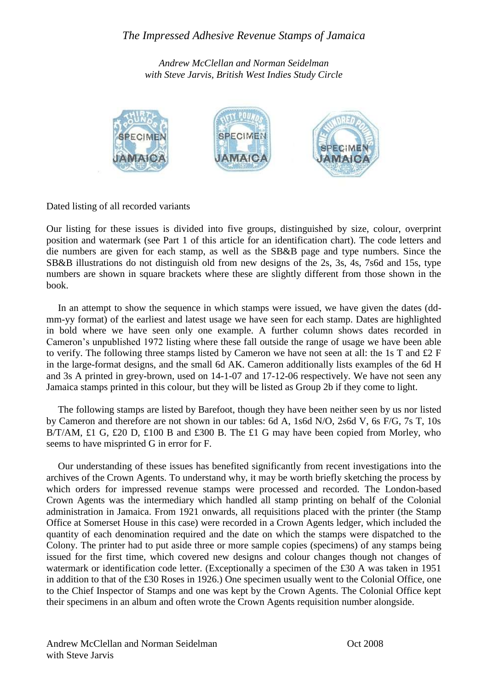*Andrew McClellan and Norman Seidelman with Steve Jarvis, British West Indies Study Circle*



Dated listing of all recorded variants

Our listing for these issues is divided into five groups, distinguished by size, colour, overprint position and watermark (see Part 1 of this article for an identification chart). The code letters and die numbers are given for each stamp, as well as the SB&B page and type numbers. Since the SB&B illustrations do not distinguish old from new designs of the 2s, 3s, 4s, 7s6d and 15s, type numbers are shown in square brackets where these are slightly different from those shown in the book.

In an attempt to show the sequence in which stamps were issued, we have given the dates (ddmm-yy format) of the earliest and latest usage we have seen for each stamp. Dates are highlighted in bold where we have seen only one example. A further column shows dates recorded in Cameron"s unpublished 1972 listing where these fall outside the range of usage we have been able to verify. The following three stamps listed by Cameron we have not seen at all: the 1s T and £2 F in the large-format designs, and the small 6d AK. Cameron additionally lists examples of the 6d H and 3s A printed in grey-brown, used on 14-1-07 and 17-12-06 respectively. We have not seen any Jamaica stamps printed in this colour, but they will be listed as Group 2b if they come to light.

The following stamps are listed by Barefoot, though they have been neither seen by us nor listed by Cameron and therefore are not shown in our tables: 6d A, 1s6d N/O, 2s6d V, 6s F/G, 7s T, 10s B/T/AM, £1 G, £20 D, £100 B and £300 B. The £1 G may have been copied from Morley, who seems to have misprinted G in error for F.

Our understanding of these issues has benefited significantly from recent investigations into the archives of the Crown Agents. To understand why, it may be worth briefly sketching the process by which orders for impressed revenue stamps were processed and recorded. The London-based Crown Agents was the intermediary which handled all stamp printing on behalf of the Colonial administration in Jamaica. From 1921 onwards, all requisitions placed with the printer (the Stamp Office at Somerset House in this case) were recorded in a Crown Agents ledger, which included the quantity of each denomination required and the date on which the stamps were dispatched to the Colony. The printer had to put aside three or more sample copies (specimens) of any stamps being issued for the first time, which covered new designs and colour changes though not changes of watermark or identification code letter. (Exceptionally a specimen of the £30 A was taken in 1951 in addition to that of the £30 Roses in 1926.) One specimen usually went to the Colonial Office, one to the Chief Inspector of Stamps and one was kept by the Crown Agents. The Colonial Office kept their specimens in an album and often wrote the Crown Agents requisition number alongside.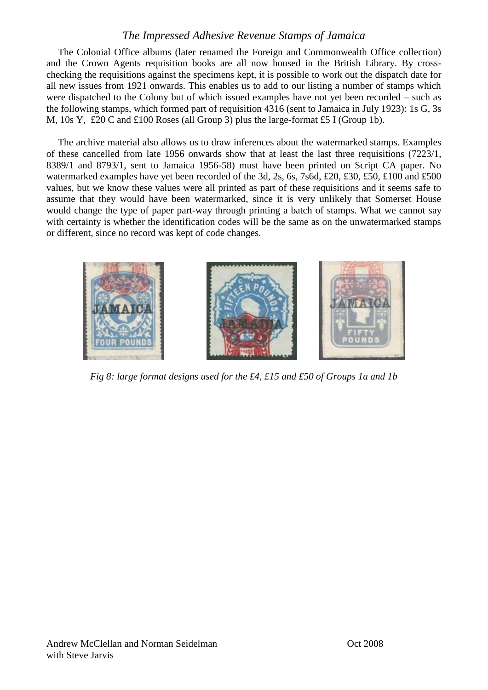The Colonial Office albums (later renamed the Foreign and Commonwealth Office collection) and the Crown Agents requisition books are all now housed in the British Library. By crosschecking the requisitions against the specimens kept, it is possible to work out the dispatch date for all new issues from 1921 onwards. This enables us to add to our listing a number of stamps which were dispatched to the Colony but of which issued examples have not yet been recorded – such as the following stamps, which formed part of requisition 4316 (sent to Jamaica in July 1923): 1s G, 3s M, 10s Y, £20 C and £100 Roses (all Group 3) plus the large-format £5 I (Group 1b).

The archive material also allows us to draw inferences about the watermarked stamps. Examples of these cancelled from late 1956 onwards show that at least the last three requisitions (7223/1, 8389/1 and 8793/1, sent to Jamaica 1956-58) must have been printed on Script CA paper. No watermarked examples have yet been recorded of the 3d, 2s, 6s, 7s6d, £20, £30, £50, £100 and £500 values, but we know these values were all printed as part of these requisitions and it seems safe to assume that they would have been watermarked, since it is very unlikely that Somerset House would change the type of paper part-way through printing a batch of stamps. What we cannot say with certainty is whether the identification codes will be the same as on the unwatermarked stamps or different, since no record was kept of code changes.



*Fig 8: large format designs used for the £4, £15 and £50 of Groups 1a and 1b*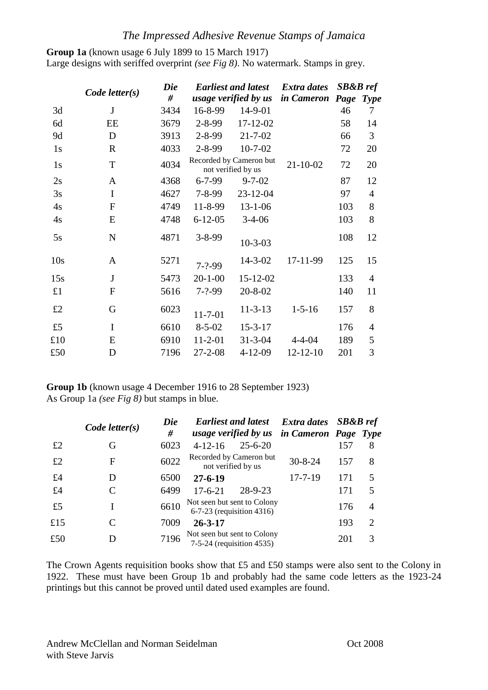**Group 1a** (known usage 6 July 1899 to 15 March 1917) Large designs with seriffed overprint *(see Fig 8)*. No watermark. Stamps in grey.

|                 | $Code$ letter $(s)$ | Die<br># |               | <b>Earliest and latest</b><br>usage verified by us | Extra dates<br><i>in Cameron</i> | <b>SB&amp;B</b> ref<br>Page | <b>Type</b>    |
|-----------------|---------------------|----------|---------------|----------------------------------------------------|----------------------------------|-----------------------------|----------------|
| 3d              | J                   | 3434     | 16-8-99       | $14-9-01$                                          |                                  | 46                          | 7              |
| 6d              | EE                  | 3679     | $2 - 8 - 99$  | $17 - 12 - 02$                                     |                                  | 58                          | 14             |
| 9d              | D                   | 3913     | $2 - 8 - 99$  | $21 - 7 - 02$                                      |                                  | 66                          | 3              |
| 1s              | $\mathbf R$         | 4033     | $2 - 8 - 99$  | $10 - 7 - 02$                                      |                                  | 72                          | 20             |
| 1s              | $\mathbf T$         | 4034     |               | Recorded by Cameron but<br>not verified by us      | $21 - 10 - 02$                   | 72                          | 20             |
| 2s              | A                   | 4368     | $6 - 7 - 99$  | $9 - 7 - 02$                                       |                                  | 87                          | 12             |
| 3s              | $\mathbf I$         | 4627     | $7 - 8 - 99$  | 23-12-04                                           |                                  | 97                          | 4              |
| 4s              | $\overline{F}$      | 4749     | 11-8-99       | $13 - 1 - 06$                                      |                                  | 103                         | 8              |
| 4s              | E                   | 4748     | $6 - 12 - 05$ | $3-4-06$                                           |                                  | 103                         | 8              |
| 5s              | ${\bf N}$           | 4871     | $3 - 8 - 99$  | $10 - 3 - 03$                                      |                                  | 108                         | 12             |
| 10 <sub>s</sub> | A                   | 5271     | $7 - ? - 99$  | $14 - 3 - 02$                                      | 17-11-99                         | 125                         | 15             |
| 15s             | J                   | 5473     | $20 - 1 - 00$ | 15-12-02                                           |                                  | 133                         | $\overline{4}$ |
| £1              | $\boldsymbol{F}$    | 5616     | $7 - ? - 99$  | $20 - 8 - 02$                                      |                                  | 140                         | 11             |
| £2              | G                   | 6023     | $11 - 7 - 01$ | $11 - 3 - 13$                                      | $1 - 5 - 16$                     | 157                         | 8              |
| £5              | I                   | 6610     | $8 - 5 - 02$  | $15 - 3 - 17$                                      |                                  | 176                         | 4              |
| £10             | E                   | 6910     | $11 - 2 - 01$ | $31 - 3 - 04$                                      | $4 - 4 - 04$                     | 189                         | 5              |
| £50             | D                   | 7196     | $27 - 2 - 08$ | 4-12-09                                            | $12 - 12 - 10$                   | 201                         | 3              |

**Group 1b** (known usage 4 December 1916 to 28 September 1923) As Group 1a *(see Fig 8)* but stamps in blue.

|     |                     | Die  | <b>Earliest and latest</b>                               | Extra dates SB&B ref |     |   |
|-----|---------------------|------|----------------------------------------------------------|----------------------|-----|---|
|     | $Code$ letter $(s)$ | #    | usage verified by us in Cameron Page Type                |                      |     |   |
| £2  | G                   | 6023 | $25 - 6 - 20$<br>$4 - 12 - 16$                           |                      | 157 | 8 |
| £2  | F                   | 6022 | Recorded by Cameron but<br>not verified by us            | $30 - 8 - 24$        | 157 | 8 |
| £4  | D                   | 6500 | $27 - 6 - 19$                                            | $17 - 7 - 19$        | 171 | 5 |
| £4  |                     | 6499 | $28 - 9 - 23$<br>$17 - 6 - 21$                           |                      | 171 | 5 |
| £5  |                     | 6610 | Not seen but sent to Colony<br>6-7-23 (requisition 4316) |                      | 176 | 4 |
| £15 |                     | 7009 | $26 - 3 - 17$                                            |                      | 193 | 2 |
| £50 | D                   | 7196 | Not seen but sent to Colony<br>7-5-24 (requisition 4535) |                      | 201 | 3 |

The Crown Agents requisition books show that £5 and £50 stamps were also sent to the Colony in 1922. These must have been Group 1b and probably had the same code letters as the 1923-24 printings but this cannot be proved until dated used examples are found.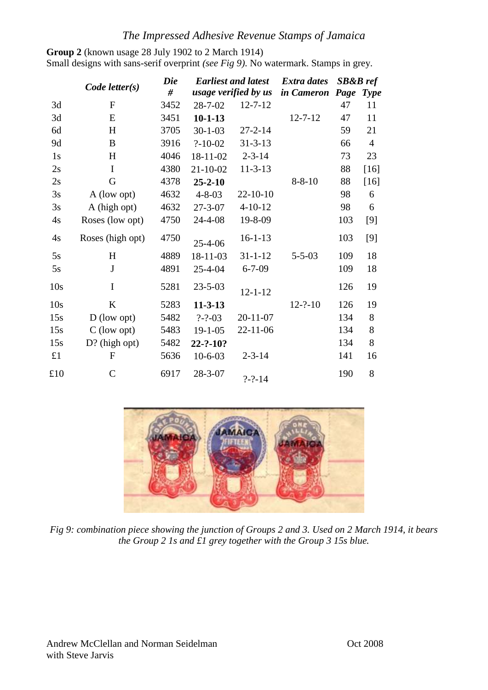**Group 2** (known usage 28 July 1902 to 2 March 1914) Small designs with sans-serif overprint *(see Fig 9)*. No watermark. Stamps in grey.

|     |                     | <b>Die</b> |                | <b>Earliest and latest</b> | <b>Extra dates</b> | <b>SB&amp;B</b> ref |                |
|-----|---------------------|------------|----------------|----------------------------|--------------------|---------------------|----------------|
|     | $Code$ letter $(s)$ | #          |                | usage verified by us       | in Cameron         | Page                | <b>Type</b>    |
| 3d  | $\overline{F}$      | 3452       | $28 - 7 - 02$  | $12 - 7 - 12$              |                    | 47                  | 11             |
| 3d  | E                   | 3451       | $10 - 1 - 13$  |                            | $12 - 7 - 12$      | 47                  | 11             |
| 6d  | H                   | 3705       | $30-1-03$      | $27 - 2 - 14$              |                    | 59                  | 21             |
| 9d  | B                   | 3916       | $? - 10 - 02$  | $31 - 3 - 13$              |                    | 66                  | $\overline{4}$ |
| 1s  | H                   | 4046       | 18-11-02       | $2 - 3 - 14$               |                    | 73                  | 23             |
| 2s  | I                   | 4380       | $21 - 10 - 02$ | $11 - 3 - 13$              |                    | 88                  | $[16]$         |
| 2s  | G                   | 4378       | $25 - 2 - 10$  |                            | $8 - 8 - 10$       | 88                  | $[16]$         |
| 3s  | A (low opt)         | 4632       | $4 - 8 - 03$   | 22-10-10                   |                    | 98                  | 6              |
| 3s  | A (high opt)        | 4632       | $27 - 3 - 07$  | $4 - 10 - 12$              |                    | 98                  | 6              |
| 4s  | Roses (low opt)     | 4750       | 24-4-08        | 19-8-09                    |                    | 103                 | [9]            |
| 4s  | Roses (high opt)    | 4750       | $25 - 4 - 06$  | $16 - 1 - 13$              |                    | 103                 | [9]            |
| 5s  | H                   | 4889       | 18-11-03       | $31 - 1 - 12$              | $5 - 5 - 03$       | 109                 | 18             |
| 5s  | $\mathbf J$         | 4891       | $25 - 4 - 04$  | $6 - 7 - 09$               |                    | 109                 | 18             |
| 10s | $\mathbf I$         | 5281       | $23 - 5 - 03$  | $12 - 1 - 12$              |                    | 126                 | 19             |
| 10s | K                   | 5283       | $11 - 3 - 13$  |                            | $12 - ? - 10$      | 126                 | 19             |
| 15s | $D$ (low opt)       | 5482       | $? - ? - 03$   | $20 - 11 - 07$             |                    | 134                 | 8              |
| 15s | C (low opt)         | 5483       | $19 - 1 - 05$  | 22-11-06                   |                    | 134                 | 8              |
| 15s | $D?$ (high opt)     | 5482       | 22-?-10?       |                            |                    | 134                 | 8              |
| £1  | $\mathbf{F}$        | 5636       | $10-6-03$      | $2 - 3 - 14$               |                    | 141                 | 16             |
| £10 | $\mathsf{C}$        | 6917       | $28 - 3 - 07$  | $? - ? - 14$               |                    | 190                 | 8              |



*Fig 9: combination piece showing the junction of Groups 2 and 3. Used on 2 March 1914, it bears the Group 2 1s and £1 grey together with the Group 3 15s blue.*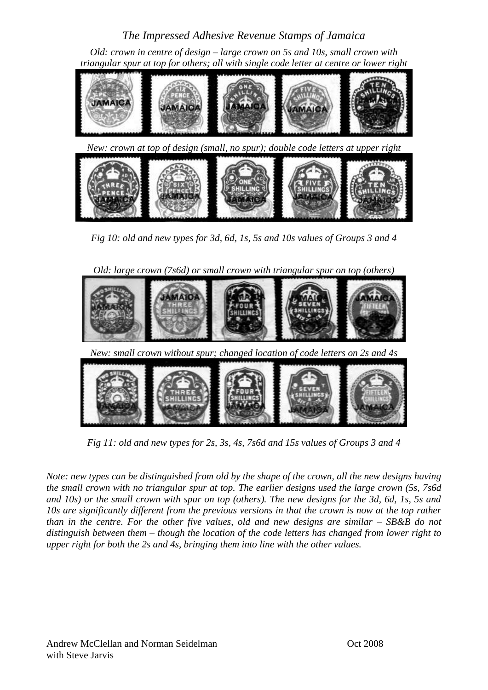*Old: crown in centre of design – large crown on 5s and 10s, small crown with triangular spur at top for others; all with single code letter at centre or lower right*



*Fig 10: old and new types for 3d, 6d, 1s, 5s and 10s values of Groups 3 and 4*

*Old: large crown (7s6d) or small crown with triangular spur on top (others)*



*Fig 11: old and new types for 2s, 3s, 4s, 7s6d and 15s values of Groups 3 and 4*

*Note: new types can be distinguished from old by the shape of the crown, all the new designs having the small crown with no triangular spur at top. The earlier designs used the large crown (5s, 7s6d and 10s) or the small crown with spur on top (others). The new designs for the 3d, 6d, 1s, 5s and 10s are significantly different from the previous versions in that the crown is now at the top rather than in the centre. For the other five values, old and new designs are similar – SB&B do not distinguish between them – though the location of the code letters has changed from lower right to upper right for both the 2s and 4s, bringing them into line with the other values.*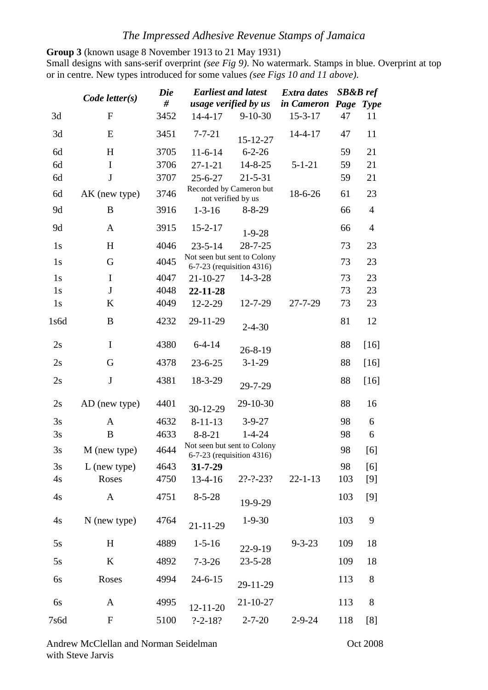**Group 3** (known usage 8 November 1913 to 21 May 1931)

Small designs with sans-serif overprint *(see Fig 9)*. No watermark. Stamps in blue. Overprint at top or in centre. New types introduced for some values *(see Figs 10 and 11 above)*.

|      | <b>Die</b>          | <b>Earliest and latest</b> |                                                          | <b>Extra dates</b>          | <b>SB&amp;B</b> ref |           |                |
|------|---------------------|----------------------------|----------------------------------------------------------|-----------------------------|---------------------|-----------|----------------|
|      | $Code$ letter $(s)$ | #                          | usage verified by us                                     |                             | in Cameron          | Page Type |                |
| 3d   | $\mathbf{F}$        | 3452                       | $14 - 4 - 17$                                            | $9 - 10 - 30$               | $15 - 3 - 17$       | 47        | 11             |
| 3d   | E                   | 3451                       | $7 - 7 - 21$                                             | 15-12-27                    | $14 - 4 - 17$       | 47        | 11             |
| 6d   | H                   | 3705                       | $11-6-14$                                                | $6 - 2 - 26$                |                     | 59        | 21             |
| 6d   | $\rm I$             | 3706                       | $27 - 1 - 21$                                            | $14 - 8 - 25$               | $5 - 1 - 21$        | 59        | 21             |
| 6d   | $\mathbf J$         | 3707                       | $25 - 6 - 27$                                            | $21 - 5 - 31$               |                     | 59        | 21             |
| 6d   | AK (new type)       | 3746                       | Recorded by Cameron but<br>not verified by us            |                             | 18-6-26             | 61        | 23             |
| 9d   | B                   | 3916                       | $1 - 3 - 16$                                             | $8 - 8 - 29$                |                     | 66        | $\overline{4}$ |
| 9d   | $\mathbf{A}$        | 3915                       | $15 - 2 - 17$                                            | $1-9-28$                    |                     | 66        | $\overline{4}$ |
| 1s   | H                   | 4046                       | $23 - 5 - 14$                                            | $28 - 7 - 25$               |                     | 73        | 23             |
| 1s   | G                   | 4045                       | Not seen but sent to Colony<br>6-7-23 (requisition 4316) |                             |                     | 73        | 23             |
| 1s   | $\mathbf I$         | 4047                       | $21 - 10 - 27$                                           | $14 - 3 - 28$               |                     | 73        | 23             |
| 1s   | $\bf J$             | 4048                       | 22-11-28                                                 |                             |                     | 73        | 23             |
| 1s   | K                   | 4049                       | $12 - 2 - 29$                                            | 12-7-29                     | 27-7-29             | 73        | 23             |
| 1s6d | B                   | 4232                       | 29-11-29                                                 | $2 - 4 - 30$                |                     | 81        | 12             |
| 2s   | $\mathbf I$         | 4380                       | $6 - 4 - 14$                                             | $26 - 8 - 19$               |                     | 88        | $[16]$         |
| 2s   | G                   | 4378                       | $23 - 6 - 25$                                            | $3 - 1 - 29$                |                     | 88        | $[16]$         |
| 2s   | $\bf J$             | 4381                       | 18-3-29                                                  | 29-7-29                     |                     | 88        | $[16]$         |
| 2s   | AD (new type)       | 4401                       | 30-12-29                                                 | 29-10-30                    |                     | 88        | 16             |
| 3s   | A                   | 4632                       | $8 - 11 - 13$                                            | $3 - 9 - 27$                |                     | 98        | 6              |
| 3s   | B                   | 4633                       | $8 - 8 - 21$                                             | $1 - 4 - 24$                |                     | 98        | 6              |
| 3s   | M (new type)        | 4644                       | Not seen but sent to Colony                              | $6-7-23$ (requisition 4316) |                     | 98        | [6]            |
| 3s   | $L$ (new type)      | 4643                       | $31 - 7 - 29$                                            |                             |                     | 98        | [6]            |
| 4s   | Roses               | 4750                       | $13-4-16$                                                | $2? - ? - 23?$              | $22 - 1 - 13$       | 103       | [9]            |
| 4s   | $\mathbf{A}$        | 4751                       | $8 - 5 - 28$                                             | 19-9-29                     |                     | 103       | $[9]$          |
| 4s   | $N$ (new type)      | 4764                       | $21 - 11 - 29$                                           | $1 - 9 - 30$                |                     | 103       | 9              |
| 5s   | $H_{\rm}$           | 4889                       | $1 - 5 - 16$                                             | 22-9-19                     | $9 - 3 - 23$        | 109       | 18             |
| 5s   | K                   | 4892                       | $7 - 3 - 26$                                             | $23 - 5 - 28$               |                     | 109       | 18             |
| 6s   | Roses               | 4994                       | $24 - 6 - 15$                                            | 29-11-29                    |                     | 113       | $8\,$          |
| 6s   | A                   | 4995                       | $12 - 11 - 20$                                           | 21-10-27                    |                     | 113       | 8              |
| 7s6d | $\mathbf F$         | 5100                       | $? - 2 - 18?$                                            | $2 - 7 - 20$                | $2 - 9 - 24$        | 118       | [8]            |

Andrew McClellan and Norman Seidelman **Oct 2008** with Steve Jarvis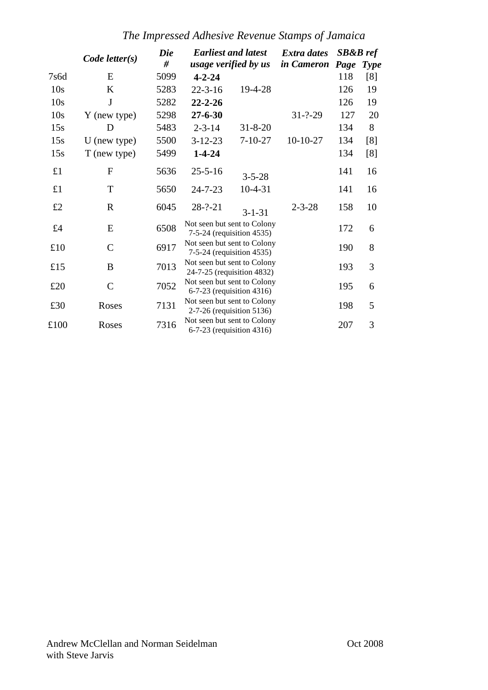*The Impressed Adhesive Revenue Stamps of Jamaica*

|                 | $Code$ letter $(s)$ | Die  | <b>Earliest and latest</b>                                |                      | <b>Extra dates</b> | $SB&B\,ref$            |             |
|-----------------|---------------------|------|-----------------------------------------------------------|----------------------|--------------------|------------------------|-------------|
|                 | #                   |      |                                                           | usage verified by us |                    | <i>in Cameron Page</i> | <b>Type</b> |
| 7s6d            | E                   | 5099 | $4 - 2 - 24$                                              |                      |                    | 118                    | [8]         |
| 10 <sub>s</sub> | K                   | 5283 | $22 - 3 - 16$                                             | 19-4-28              |                    | 126                    | 19          |
| 10s             | J                   | 5282 | $22 - 2 - 26$                                             |                      |                    | 126                    | 19          |
| 10s             | Y (new type)        | 5298 | $27 - 6 - 30$                                             |                      | $31 - ? - 29$      | 127                    | 20          |
| 15s             | D                   | 5483 | $2 - 3 - 14$                                              | $31 - 8 - 20$        |                    | 134                    | 8           |
| 15s             | $U$ (new type)      | 5500 | $3 - 12 - 23$                                             | $7 - 10 - 27$        | $10-10-27$         | 134                    | [8]         |
| 15s             | T (new type)        | 5499 | $1 - 4 - 24$                                              |                      |                    | 134                    | [8]         |
| £1              | F                   | 5636 | $25 - 5 - 16$                                             | $3 - 5 - 28$         |                    | 141                    | 16          |
| £1              | T                   | 5650 | $24 - 7 - 23$                                             | $10 - 4 - 31$        |                    | 141                    | 16          |
| £2              | $\mathbf R$         | 6045 | $28 - ? - 21$                                             | $3 - 1 - 31$         | $2 - 3 - 28$       | 158                    | 10          |
| £4              | E                   | 6508 | Not seen but sent to Colony<br>7-5-24 (requisition 4535)  |                      |                    | 172                    | 6           |
| £10             | $\mathsf{C}$        | 6917 | Not seen but sent to Colony<br>7-5-24 (requisition 4535)  |                      |                    | 190                    | 8           |
| £15             | B                   | 7013 | Not seen but sent to Colony<br>24-7-25 (requisition 4832) |                      |                    | 193                    | 3           |
| £20             | $\mathsf{C}$        | 7052 | Not seen but sent to Colony<br>6-7-23 (requisition 4316)  |                      |                    | 195                    | 6           |
| £30             | Roses               | 7131 | Not seen but sent to Colony<br>2-7-26 (requisition 5136)  |                      |                    | 198                    | 5           |
| £100            | Roses               | 7316 | Not seen but sent to Colony<br>6-7-23 (requisition 4316)  |                      |                    | 207                    | 3           |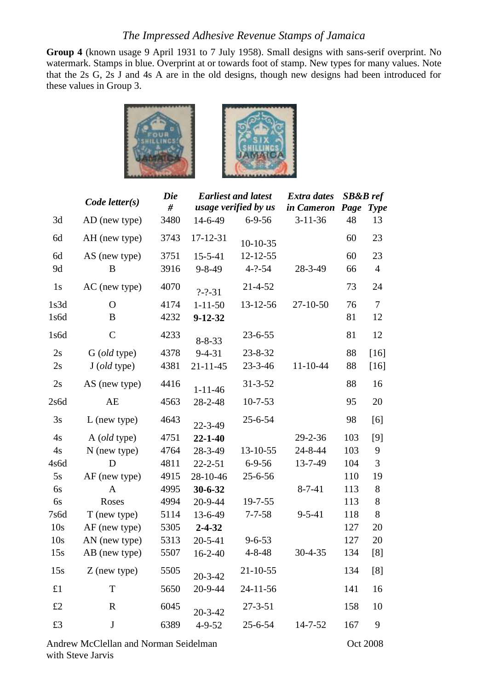**Group 4** (known usage 9 April 1931 to 7 July 1958). Small designs with sans-serif overprint. No watermark. Stamps in blue. Overprint at or towards foot of stamp. New types for many values. Note that the 2s G, 2s J and 4s A are in the old designs, though new designs had been introduced for these values in Group 3.





|      | $Code$ letter $(s)$ | <b>Die</b><br># |                | <b>Earliest and latest</b><br>usage verified by us | <b>Extra dates</b><br>in Cameron Page | $SB&B\,ref$ | <b>Type</b>    |
|------|---------------------|-----------------|----------------|----------------------------------------------------|---------------------------------------|-------------|----------------|
| 3d   | AD (new type)       | 3480            | 14-6-49        | $6 - 9 - 56$                                       | $3 - 11 - 36$                         | 48          | 13             |
| 6d   | AH (new type)       | 3743            | 17-12-31       | $10-10-35$                                         |                                       | 60          | 23             |
| 6d   | AS (new type)       | 3751            | $15 - 5 - 41$  | 12-12-55                                           |                                       | 60          | 23             |
| 9d   | B                   | 3916            | $9 - 8 - 49$   | $4 - ? - 54$                                       | 28-3-49                               | 66          | $\overline{4}$ |
| 1s   | AC (new type)       | 4070            | $? - ? - 31$   | 21-4-52                                            |                                       | 73          | 24             |
| 1s3d | O                   | 4174            | $1 - 11 - 50$  | 13-12-56                                           | 27-10-50                              | 76          | $\overline{7}$ |
| 1s6d | B                   | 4232            | $9 - 12 - 32$  |                                                    |                                       | 81          | 12             |
| 1s6d | $\mathcal{C}$       | 4233            | $8 - 8 - 33$   | $23 - 6 - 55$                                      |                                       | 81          | 12             |
| 2s   | G (old type)        | 4378            | $9 - 4 - 31$   | $23 - 8 - 32$                                      |                                       | 88          | $[16]$         |
| 2s   | $J$ (old type)      | 4381            | $21 - 11 - 45$ | $23 - 3 - 46$                                      | $11 - 10 - 44$                        | 88          | $[16]$         |
| 2s   | AS (new type)       | 4416            | $1 - 11 - 46$  | $31 - 3 - 52$                                      |                                       | 88          | 16             |
| 2s6d | AE                  | 4563            | 28-2-48        | $10 - 7 - 53$                                      |                                       | 95          | 20             |
| 3s   | $L$ (new type)      | 4643            | 22-3-49        | $25 - 6 - 54$                                      |                                       | 98          | [6]            |
| 4s   | A (old type)        | 4751            | $22 - 1 - 40$  |                                                    | $29 - 2 - 36$                         | 103         | $[9]$          |
| 4s   | $N$ (new type)      | 4764            | 28-3-49        | 13-10-55                                           | 24-8-44                               | 103         | 9              |
| 4s6d | D                   | 4811            | $22 - 2 - 51$  | $6 - 9 - 56$                                       | 13-7-49                               | 104         | 3              |
| 5s   | AF (new type)       | 4915            | 28-10-46       | $25 - 6 - 56$                                      |                                       | 110         | 19             |
| 6s   | A                   | 4995            | 30-6-32        |                                                    | $8 - 7 - 41$                          | 113         | $8\,$          |
| 6s   | Roses               | 4994            | 20-9-44        | 19-7-55                                            |                                       | 113         | 8              |
| 7s6d | T (new type)        | 5114            | 13-6-49        | $7 - 7 - 58$                                       | $9 - 5 - 41$                          | 118         | 8              |
| 10s  | AF (new type)       | 5305            | $2 - 4 - 32$   |                                                    |                                       | 127         | 20             |
| 10s  | AN (new type)       | 5313            | $20 - 5 - 41$  | $9 - 6 - 53$                                       |                                       | 127         | 20             |
| 15s  | AB (new type)       | 5507            | $16 - 2 - 40$  | $4 - 8 - 48$                                       | 30-4-35                               | 134         | [8]            |
| 15s  | $Z$ (new type)      | 5505            | $20 - 3 - 42$  | $21 - 10 - 55$                                     |                                       | 134         | [8]            |
| £1   | T                   | 5650            | 20-9-44        | $24 - 11 - 56$                                     |                                       | 141         | 16             |
| £2   | $\mathbf R$         | 6045            | $20 - 3 - 42$  | $27 - 3 - 51$                                      |                                       | 158         | 10             |
| £3   | $\bf J$             | 6389            | $4 - 9 - 52$   | $25 - 6 - 54$                                      | $14 - 7 - 52$                         | 167         | 9              |
|      |                     |                 |                |                                                    |                                       |             |                |

Andrew McClellan and Norman Seidelman **Oct 2008** with Steve Jarvis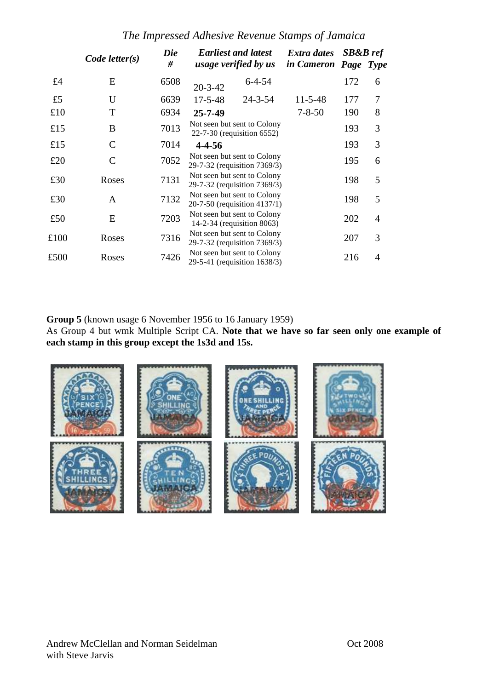*The Impressed Adhesive Revenue Stamps of Jamaica*

|      | $Code$ letter $(s)$ | Die  | <b>Earliest and latest</b>                                  | Extra dates          | <b>SB&amp;B</b> ref |                |
|------|---------------------|------|-------------------------------------------------------------|----------------------|---------------------|----------------|
|      |                     | #    | usage verified by us                                        | in Cameron Page Type |                     |                |
| £4   | E                   | 6508 | $6 - 4 - 54$<br>$20 - 3 - 42$                               |                      | 172                 | 6              |
| £5   | U                   | 6639 | $17 - 5 - 48$<br>$24 - 3 - 54$                              | $11 - 5 - 48$        | 177                 | 7              |
| £10  | T                   | 6934 | $25 - 7 - 49$                                               | $7 - 8 - 50$         | 190                 | 8              |
| £15  | B                   | 7013 | Not seen but sent to Colony<br>22-7-30 (requisition 6552)   |                      | 193                 | 3              |
| £15  | C                   | 7014 | $4 - 4 - 56$                                                |                      | 193                 | 3              |
| £20  | C                   | 7052 | Not seen but sent to Colony<br>29-7-32 (requisition 7369/3) |                      | 195                 | 6              |
| £30  | Roses               | 7131 | Not seen but sent to Colony<br>29-7-32 (requisition 7369/3) |                      | 198                 | 5              |
| £30  | A                   | 7132 | Not seen but sent to Colony<br>20-7-50 (requisition 4137/1) |                      | 198                 | 5              |
| £50  | E                   | 7203 | Not seen but sent to Colony<br>14-2-34 (requisition 8063)   |                      | 202                 | $\overline{A}$ |
| £100 | Roses               | 7316 | Not seen but sent to Colony<br>29-7-32 (requisition 7369/3) |                      | 207                 | 3              |
| £500 | Roses               | 7426 | Not seen but sent to Colony<br>29-5-41 (requisition 1638/3) |                      | 216                 | 4              |

**Group 5** (known usage 6 November 1956 to 16 January 1959)

As Group 4 but wmk Multiple Script CA. **Note that we have so far seen only one example of each stamp in this group except the 1s3d and 15s.**

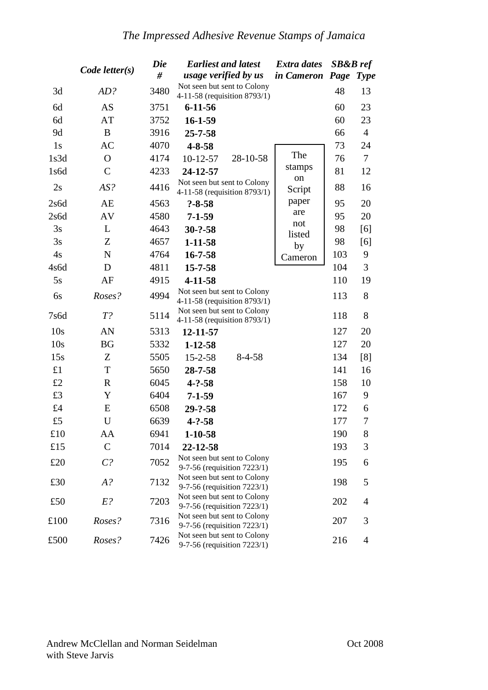| $Code$ letter $(s)$ |               | <b>Die</b><br># | <b>Earliest and latest</b><br><i>usage verified by us</i>   | <b>Extra dates</b><br>in Cameron Page Type | <b>SB&amp;B</b> ref |                |
|---------------------|---------------|-----------------|-------------------------------------------------------------|--------------------------------------------|---------------------|----------------|
| 3d                  | AD?           | 3480            | Not seen but sent to Colony<br>4-11-58 (requisition 8793/1) |                                            | 48                  | 13             |
| 6d                  | AS            | 3751            | $6 - 11 - 56$                                               |                                            | 60                  | 23             |
| 6d                  | AT            | 3752            | $16 - 1 - 59$                                               |                                            | 60                  | 23             |
| 9d                  | B             | 3916            | $25 - 7 - 58$                                               |                                            | 66                  | $\overline{4}$ |
| 1s                  | <b>AC</b>     | 4070            | $4 - 8 - 58$                                                |                                            | 73                  | 24             |
| 1s3d                | $\Omega$      | 4174            | 28-10-58<br>$10-12-57$                                      | The                                        | 76                  | 7              |
| 1s6d                | $\mathcal{C}$ | 4233            | 24-12-57                                                    | stamps                                     | 81                  | 12             |
| 2s                  | AS?           | 4416            | Not seen but sent to Colony<br>4-11-58 (requisition 8793/1) | on<br>Script                               | 88                  | 16             |
| 2s6d                | AE            | 4563            | $? - 8 - 58$                                                | paper                                      | 95                  | 20             |
| 2s6d                | AV            | 4580            | $7 - 1 - 59$                                                | are                                        | 95                  | 20             |
| 3s                  | L             | 4643            | $30 - ? - 58$                                               | not<br>listed                              | 98                  | [6]            |
| 3s                  | Z             | 4657            | $1 - 11 - 58$                                               | by                                         | 98                  | [6]            |
| 4s                  | $\mathbf N$   | 4764            | $16 - 7 - 58$                                               | Cameron                                    | 103                 | 9              |
| 4s6d                | D             | 4811            | $15 - 7 - 58$                                               |                                            | 104                 | 3              |
| 5s                  | AF            | 4915            | 4-11-58                                                     |                                            | 110                 | 19             |
| 6s                  | Roses?        | 4994            | Not seen but sent to Colony<br>4-11-58 (requisition 8793/1) |                                            | 113                 | 8              |
| 7s6d                | $T$ ?         | 5114            | Not seen but sent to Colony<br>4-11-58 (requisition 8793/1) |                                            | 118                 | 8              |
| 10s                 | AN            | 5313            | 12-11-57                                                    |                                            | 127                 | 20             |
| 10s                 | <b>BG</b>     | 5332            | $1 - 12 - 58$                                               |                                            | 127                 | 20             |
| 15s                 | Z             | 5505            | $8-4-58$<br>$15 - 2 - 58$                                   |                                            | 134                 | [8]            |
| £1                  | T             | 5650            | 28-7-58                                                     |                                            | 141                 | 16             |
| £2                  | $\mathbb{R}$  | 6045            | $4 - ? - 58$                                                |                                            | 158                 | 10             |
| £3                  | Y             | 6404            | $7 - 1 - 59$                                                |                                            | 167                 | 9              |
| £4                  | E             | 6508            | $29 - ? - 58$                                               |                                            | 172                 | 6              |
| £5                  | U             | 6639            | $4 - ? - 58$                                                |                                            | 177                 | 7              |
| £10                 | AA            | 6941            | $1 - 10 - 58$                                               |                                            | 190                 | 8              |
| £15                 | $\mathsf{C}$  | 7014            | 22-12-58                                                    |                                            | 193                 | 3              |
| £20                 | $C$ ?         | 7052            | Not seen but sent to Colony<br>9-7-56 (requisition 7223/1)  |                                            | 195                 | 6              |
| £30                 | $A$ ?         | 7132            | Not seen but sent to Colony<br>9-7-56 (requisition 7223/1)  |                                            | 198                 | 5              |
| £50                 | $E$ ?         | 7203            | Not seen but sent to Colony<br>9-7-56 (requisition 7223/1)  |                                            | 202                 | 4              |
| £100                | Roses?        | 7316            | Not seen but sent to Colony<br>9-7-56 (requisition 7223/1)  |                                            | 207                 | 3              |
| £500                | Roses?        | 7426            | Not seen but sent to Colony<br>9-7-56 (requisition 7223/1)  |                                            | 216                 | $\overline{4}$ |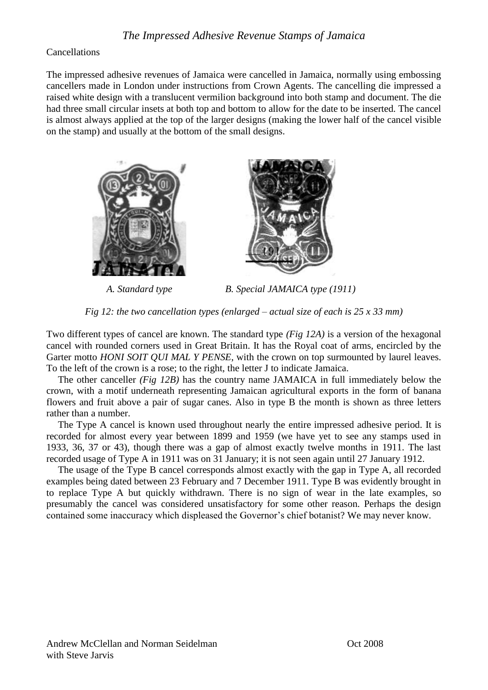#### Cancellations

The impressed adhesive revenues of Jamaica were cancelled in Jamaica, normally using embossing cancellers made in London under instructions from Crown Agents. The cancelling die impressed a raised white design with a translucent vermilion background into both stamp and document. The die had three small circular insets at both top and bottom to allow for the date to be inserted. The cancel is almost always applied at the top of the larger designs (making the lower half of the cancel visible on the stamp) and usually at the bottom of the small designs.





*A. Standard type B. Special JAMAICA type (1911)*

*Fig 12: the two cancellation types (enlarged – actual size of each is 25 x 33 mm)*

Two different types of cancel are known. The standard type *(Fig 12A)* is a version of the hexagonal cancel with rounded corners used in Great Britain. It has the Royal coat of arms, encircled by the Garter motto *HONI SOIT QUI MAL Y PENSE*, with the crown on top surmounted by laurel leaves. To the left of the crown is a rose; to the right, the letter J to indicate Jamaica.

The other canceller *(Fig 12B)* has the country name JAMAICA in full immediately below the crown, with a motif underneath representing Jamaican agricultural exports in the form of banana flowers and fruit above a pair of sugar canes. Also in type B the month is shown as three letters rather than a number.

The Type A cancel is known used throughout nearly the entire impressed adhesive period. It is recorded for almost every year between 1899 and 1959 (we have yet to see any stamps used in 1933, 36, 37 or 43), though there was a gap of almost exactly twelve months in 1911. The last recorded usage of Type A in 1911 was on 31 January; it is not seen again until 27 January 1912.

The usage of the Type B cancel corresponds almost exactly with the gap in Type A, all recorded examples being dated between 23 February and 7 December 1911. Type B was evidently brought in to replace Type A but quickly withdrawn. There is no sign of wear in the late examples, so presumably the cancel was considered unsatisfactory for some other reason. Perhaps the design contained some inaccuracy which displeased the Governor"s chief botanist? We may never know.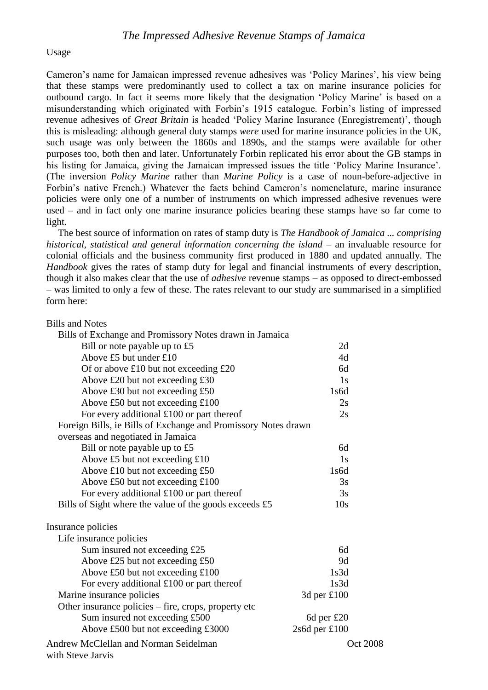#### Usage

Cameron"s name for Jamaican impressed revenue adhesives was "Policy Marines", his view being that these stamps were predominantly used to collect a tax on marine insurance policies for outbound cargo. In fact it seems more likely that the designation "Policy Marine" is based on a misunderstanding which originated with Forbin"s 1915 catalogue. Forbin"s listing of impressed revenue adhesives of *Great Britain* is headed 'Policy Marine Insurance (Enregistrement)', though this is misleading: although general duty stamps *were* used for marine insurance policies in the UK, such usage was only between the 1860s and 1890s, and the stamps were available for other purposes too, both then and later. Unfortunately Forbin replicated his error about the GB stamps in his listing for Jamaica, giving the Jamaican impressed issues the title "Policy Marine Insurance". (The inversion *Policy Marine* rather than *Marine Policy* is a case of noun-before-adjective in Forbin's native French.) Whatever the facts behind Cameron's nomenclature, marine insurance policies were only one of a number of instruments on which impressed adhesive revenues were used – and in fact only one marine insurance policies bearing these stamps have so far come to light.

The best source of information on rates of stamp duty is *The Handbook of Jamaica ... comprising historical, statistical and general information concerning the island – an invaluable resource for* colonial officials and the business community first produced in 1880 and updated annually. The *Handbook* gives the rates of stamp duty for legal and financial instruments of every description, though it also makes clear that the use of *adhesive* revenue stamps – as opposed to direct-embossed – was limited to only a few of these. The rates relevant to our study are summarised in a simplified form here:

#### Bills and Notes

| Bills of Exchange and Promissory Notes drawn in Jamaica           |                 |
|-------------------------------------------------------------------|-----------------|
| Bill or note payable up to £5                                     | 2d              |
| Above £5 but under $£10$                                          | 4d              |
| Of or above £10 but not exceeding $£20$                           | 6d              |
| Above £20 but not exceeding £30                                   | 1s              |
| Above £30 but not exceeding £50                                   | 1s6d            |
| Above £50 but not exceeding £100                                  | 2s              |
| For every additional $£100$ or part thereof                       | 2s              |
| Foreign Bills, ie Bills of Exchange and Promissory Notes drawn    |                 |
| overseas and negotiated in Jamaica                                |                 |
| Bill or note payable up to £5                                     | 6d              |
| Above £5 but not exceeding £10                                    | 1s              |
| Above £10 but not exceeding £50                                   | 1s6d            |
| Above £50 but not exceeding £100                                  | 3s              |
| For every additional $£100$ or part thereof                       | 3s              |
| Bills of Sight where the value of the goods exceeds £5            | 10s             |
| Insurance policies                                                |                 |
| Life insurance policies                                           |                 |
| Sum insured not exceeding £25                                     | 6d              |
| Above £25 but not exceeding £50                                   | 9d              |
| Above £50 but not exceeding £100                                  | 1s3d            |
| For every additional $£100$ or part thereof                       | 1s3d            |
| Marine insurance policies                                         | 3d per £100     |
| Other insurance policies – fire, crops, property etc              |                 |
| Sum insured not exceeding £500                                    | 6d per $£20$    |
| Above £500 but not exceeding £3000                                | 2s6d per £100   |
| <b>Andrew McClellan and Norman Seidelman</b><br>with Steve Jarvis | <b>Oct 2008</b> |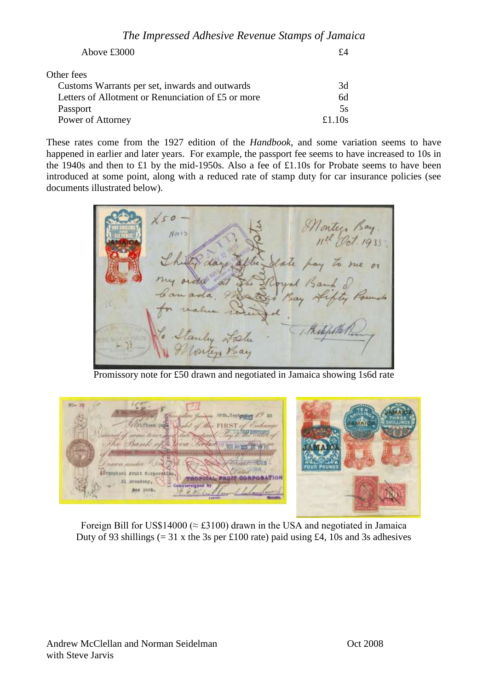| Above £3000                                        | f4    |
|----------------------------------------------------|-------|
| Other fees                                         |       |
| Customs Warrants per set, inwards and outwards     | 3d    |
| Letters of Allotment or Renunciation of £5 or more | 6d    |
| Passport                                           | 5s    |
| Power of Attorney                                  | f110s |

These rates come from the 1927 edition of the *Handbook*, and some variation seems to have happened in earlier and later years. For example, the passport fee seems to have increased to 10s in the 1940s and then to £1 by the mid-1950s. Also a fee of £1.10s for Probate seems to have been introduced at some point, along with a reduced rate of stamp duty for car insurance policies (see documents illustrated below).



Promissory note for £50 drawn and negotiated in Jamaica showing 1s6d rate



Foreign Bill for US\$14000 ( $\approx$  £3100) drawn in the USA and negotiated in Jamaica Duty of 93 shillings  $(= 31 \times \text{the } 3s \text{ per } \text{\pounds}100 \text{ rate})$  paid using  $\text{\pounds}4$ , 10s and 3s adhesives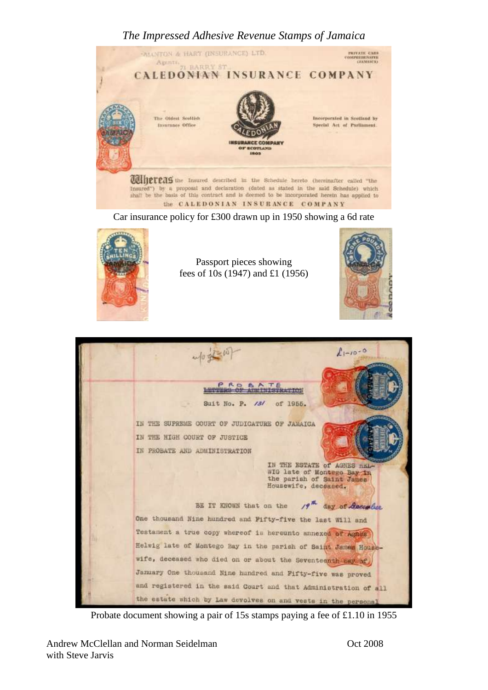

Car insurance policy for £300 drawn up in 1950 showing a 6d rate



Passport pieces showing fees of 10s (1947) and £1 (1956)





Probate document showing a pair of 15s stamps paying a fee of £1.10 in 1955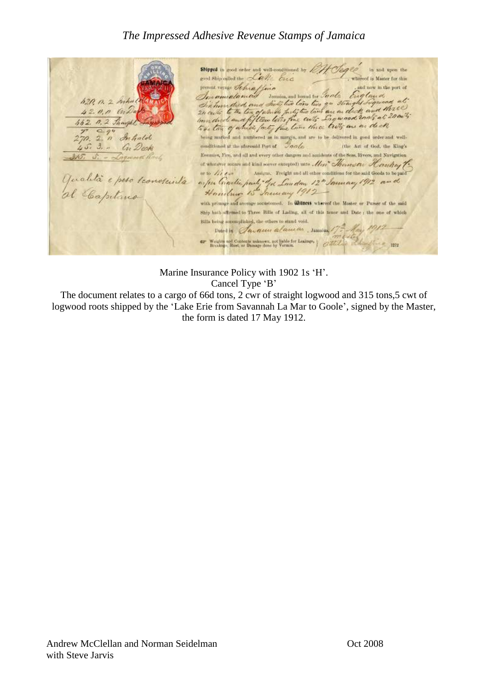Shipped in good order and well-conditioned by *PH Cleared* in and upon the supper in good order and well-conditioned by 1011 Org 20 in and upon the<br>good Ship called the Calle Cree where the cross of the cross of the cross of the cross of the cross of the cross of the contract of the cross of the contract of the cross of the cross of the cross of the cross of the cross of the cross of the cross of t 620, 0. 2 Sichal  $42.00 h$  milla 662. n. 2. Thought  $\frac{7}{270}$ ,  $\frac{2}{3}$ ,  $\frac{7}{9}$  Inhald an Dock Enemies, Fire, and all and every other dangers and accidents of the Seas. Rivers, and Navigation 315. S. - Laguard R. of wholever inture and trink sever excepted) anto Mer Thermote Hankey T. or to  $\angle$  /  $\angle$  /  $\angle$  /  $\angle$  /  $\angle$  /  $\angle$  /  $\angle$  /  $\angle$  /  $\angle$  /  $\angle$  /  $\angle$  /  $\angle$  /  $\angle$  /  $\angle$  /  $\angle$  /  $\angle$  /  $\angle$  /  $\angle$  /  $\angle$  /  $\angle$  /  $\angle$  /  $\angle$  /  $\angle$  /  $\angle$  /  $\angle$  /  $\angle$  /  $\angle$  /  $\angle$  /  $\angle$  /  $\angle$  /  $\angle$  Qualità e peso sconosciuta a per Cractic party of a Low down 12" January 1912 and with primars and average accustomed. In **Witness** whereof the Master or Purser of the said Ship hath afterned to Three Bills of Lading, all of this tenor and Date ; the one of which Bills being notomplished, the others to stand void. Durin Savanni alaman, samsan 175 May 1912 Western and Contents suknown, not liable for Leakage, and the state of the state of the state of the state of the state of the state of the state of the state of the state of the state of the state of the state of the stat  $= 1972$ 

Marine Insurance Policy with 1902 1s 'H'. Cancel Type 'B'

The document relates to a cargo of 66d tons, 2 cwr of straight logwood and 315 tons,5 cwt of logwood roots shipped by the 'Lake Erie from Savannah La Mar to Goole', signed by the Master, the form is dated 17 May 1912.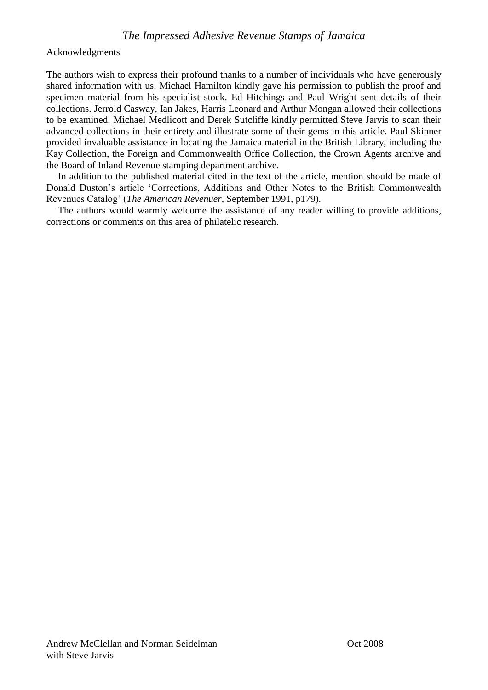Acknowledgments

The authors wish to express their profound thanks to a number of individuals who have generously shared information with us. Michael Hamilton kindly gave his permission to publish the proof and specimen material from his specialist stock. Ed Hitchings and Paul Wright sent details of their collections. Jerrold Casway, Ian Jakes, Harris Leonard and Arthur Mongan allowed their collections to be examined. Michael Medlicott and Derek Sutcliffe kindly permitted Steve Jarvis to scan their advanced collections in their entirety and illustrate some of their gems in this article. Paul Skinner provided invaluable assistance in locating the Jamaica material in the British Library, including the Kay Collection, the Foreign and Commonwealth Office Collection, the Crown Agents archive and the Board of Inland Revenue stamping department archive.

In addition to the published material cited in the text of the article, mention should be made of Donald Duston"s article "Corrections, Additions and Other Notes to the British Commonwealth Revenues Catalog" (*The American Revenuer*, September 1991, p179).

The authors would warmly welcome the assistance of any reader willing to provide additions, corrections or comments on this area of philatelic research.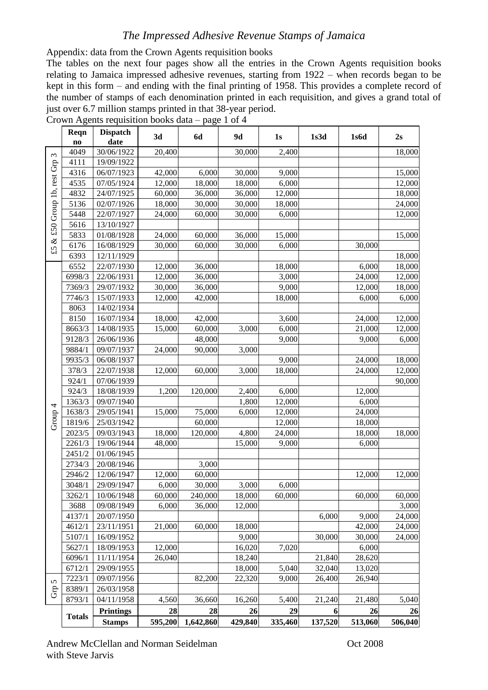Appendix: data from the Crown Agents requisition books

The tables on the next four pages show all the entries in the Crown Agents requisition books relating to Jamaica impressed adhesive revenues, starting from 1922 – when records began to be kept in this form – and ending with the final printing of 1958. This provides a complete record of the number of stamps of each denomination printed in each requisition, and gives a grand total of just over 6.7 million stamps printed in that 38-year period.

|               |                                                                                                                                                                                                                                                                                                                                                                                                                                      | 3d                                                                                                                                                                                                                                                                                                                                                                                                                                                                                                                                                                                                                                                                                          | <b>6d</b>                                                                                                                                                                                                                                                                              | 9d                                                                                                                                                                                                                                                                                          | 1s                                                                                                                                                                                                                                                            | 1s3d                                                                                                                                                                                                                                                                               | 1s6d                                                         | 2s                                                                                                                                                                                                                                                              |
|---------------|--------------------------------------------------------------------------------------------------------------------------------------------------------------------------------------------------------------------------------------------------------------------------------------------------------------------------------------------------------------------------------------------------------------------------------------|---------------------------------------------------------------------------------------------------------------------------------------------------------------------------------------------------------------------------------------------------------------------------------------------------------------------------------------------------------------------------------------------------------------------------------------------------------------------------------------------------------------------------------------------------------------------------------------------------------------------------------------------------------------------------------------------|----------------------------------------------------------------------------------------------------------------------------------------------------------------------------------------------------------------------------------------------------------------------------------------|---------------------------------------------------------------------------------------------------------------------------------------------------------------------------------------------------------------------------------------------------------------------------------------------|---------------------------------------------------------------------------------------------------------------------------------------------------------------------------------------------------------------------------------------------------------------|------------------------------------------------------------------------------------------------------------------------------------------------------------------------------------------------------------------------------------------------------------------------------------|--------------------------------------------------------------|-----------------------------------------------------------------------------------------------------------------------------------------------------------------------------------------------------------------------------------------------------------------|
|               |                                                                                                                                                                                                                                                                                                                                                                                                                                      |                                                                                                                                                                                                                                                                                                                                                                                                                                                                                                                                                                                                                                                                                             |                                                                                                                                                                                                                                                                                        |                                                                                                                                                                                                                                                                                             |                                                                                                                                                                                                                                                               |                                                                                                                                                                                                                                                                                    |                                                              | 18,000                                                                                                                                                                                                                                                          |
|               |                                                                                                                                                                                                                                                                                                                                                                                                                                      |                                                                                                                                                                                                                                                                                                                                                                                                                                                                                                                                                                                                                                                                                             |                                                                                                                                                                                                                                                                                        |                                                                                                                                                                                                                                                                                             |                                                                                                                                                                                                                                                               |                                                                                                                                                                                                                                                                                    |                                                              |                                                                                                                                                                                                                                                                 |
|               |                                                                                                                                                                                                                                                                                                                                                                                                                                      |                                                                                                                                                                                                                                                                                                                                                                                                                                                                                                                                                                                                                                                                                             |                                                                                                                                                                                                                                                                                        |                                                                                                                                                                                                                                                                                             |                                                                                                                                                                                                                                                               |                                                                                                                                                                                                                                                                                    |                                                              | 15,000                                                                                                                                                                                                                                                          |
|               |                                                                                                                                                                                                                                                                                                                                                                                                                                      |                                                                                                                                                                                                                                                                                                                                                                                                                                                                                                                                                                                                                                                                                             |                                                                                                                                                                                                                                                                                        |                                                                                                                                                                                                                                                                                             |                                                                                                                                                                                                                                                               |                                                                                                                                                                                                                                                                                    |                                                              | 12,000                                                                                                                                                                                                                                                          |
|               |                                                                                                                                                                                                                                                                                                                                                                                                                                      |                                                                                                                                                                                                                                                                                                                                                                                                                                                                                                                                                                                                                                                                                             |                                                                                                                                                                                                                                                                                        |                                                                                                                                                                                                                                                                                             |                                                                                                                                                                                                                                                               |                                                                                                                                                                                                                                                                                    |                                                              | 18,000                                                                                                                                                                                                                                                          |
|               |                                                                                                                                                                                                                                                                                                                                                                                                                                      |                                                                                                                                                                                                                                                                                                                                                                                                                                                                                                                                                                                                                                                                                             |                                                                                                                                                                                                                                                                                        |                                                                                                                                                                                                                                                                                             |                                                                                                                                                                                                                                                               |                                                                                                                                                                                                                                                                                    |                                                              | 24,000                                                                                                                                                                                                                                                          |
|               |                                                                                                                                                                                                                                                                                                                                                                                                                                      |                                                                                                                                                                                                                                                                                                                                                                                                                                                                                                                                                                                                                                                                                             |                                                                                                                                                                                                                                                                                        |                                                                                                                                                                                                                                                                                             |                                                                                                                                                                                                                                                               |                                                                                                                                                                                                                                                                                    |                                                              | 12,000                                                                                                                                                                                                                                                          |
|               |                                                                                                                                                                                                                                                                                                                                                                                                                                      |                                                                                                                                                                                                                                                                                                                                                                                                                                                                                                                                                                                                                                                                                             |                                                                                                                                                                                                                                                                                        |                                                                                                                                                                                                                                                                                             |                                                                                                                                                                                                                                                               |                                                                                                                                                                                                                                                                                    |                                                              |                                                                                                                                                                                                                                                                 |
|               |                                                                                                                                                                                                                                                                                                                                                                                                                                      |                                                                                                                                                                                                                                                                                                                                                                                                                                                                                                                                                                                                                                                                                             |                                                                                                                                                                                                                                                                                        |                                                                                                                                                                                                                                                                                             |                                                                                                                                                                                                                                                               |                                                                                                                                                                                                                                                                                    |                                                              | 15,000                                                                                                                                                                                                                                                          |
|               |                                                                                                                                                                                                                                                                                                                                                                                                                                      |                                                                                                                                                                                                                                                                                                                                                                                                                                                                                                                                                                                                                                                                                             |                                                                                                                                                                                                                                                                                        |                                                                                                                                                                                                                                                                                             |                                                                                                                                                                                                                                                               |                                                                                                                                                                                                                                                                                    |                                                              |                                                                                                                                                                                                                                                                 |
|               |                                                                                                                                                                                                                                                                                                                                                                                                                                      |                                                                                                                                                                                                                                                                                                                                                                                                                                                                                                                                                                                                                                                                                             |                                                                                                                                                                                                                                                                                        |                                                                                                                                                                                                                                                                                             |                                                                                                                                                                                                                                                               |                                                                                                                                                                                                                                                                                    |                                                              | 18,000                                                                                                                                                                                                                                                          |
|               |                                                                                                                                                                                                                                                                                                                                                                                                                                      |                                                                                                                                                                                                                                                                                                                                                                                                                                                                                                                                                                                                                                                                                             |                                                                                                                                                                                                                                                                                        |                                                                                                                                                                                                                                                                                             |                                                                                                                                                                                                                                                               |                                                                                                                                                                                                                                                                                    |                                                              | 18,000                                                                                                                                                                                                                                                          |
|               |                                                                                                                                                                                                                                                                                                                                                                                                                                      |                                                                                                                                                                                                                                                                                                                                                                                                                                                                                                                                                                                                                                                                                             |                                                                                                                                                                                                                                                                                        |                                                                                                                                                                                                                                                                                             |                                                                                                                                                                                                                                                               |                                                                                                                                                                                                                                                                                    |                                                              | 12,000                                                                                                                                                                                                                                                          |
|               |                                                                                                                                                                                                                                                                                                                                                                                                                                      |                                                                                                                                                                                                                                                                                                                                                                                                                                                                                                                                                                                                                                                                                             |                                                                                                                                                                                                                                                                                        |                                                                                                                                                                                                                                                                                             |                                                                                                                                                                                                                                                               |                                                                                                                                                                                                                                                                                    |                                                              | 18,000                                                                                                                                                                                                                                                          |
|               |                                                                                                                                                                                                                                                                                                                                                                                                                                      |                                                                                                                                                                                                                                                                                                                                                                                                                                                                                                                                                                                                                                                                                             |                                                                                                                                                                                                                                                                                        |                                                                                                                                                                                                                                                                                             |                                                                                                                                                                                                                                                               |                                                                                                                                                                                                                                                                                    |                                                              | 6,000                                                                                                                                                                                                                                                           |
|               |                                                                                                                                                                                                                                                                                                                                                                                                                                      |                                                                                                                                                                                                                                                                                                                                                                                                                                                                                                                                                                                                                                                                                             |                                                                                                                                                                                                                                                                                        |                                                                                                                                                                                                                                                                                             |                                                                                                                                                                                                                                                               |                                                                                                                                                                                                                                                                                    |                                                              |                                                                                                                                                                                                                                                                 |
|               |                                                                                                                                                                                                                                                                                                                                                                                                                                      |                                                                                                                                                                                                                                                                                                                                                                                                                                                                                                                                                                                                                                                                                             |                                                                                                                                                                                                                                                                                        |                                                                                                                                                                                                                                                                                             |                                                                                                                                                                                                                                                               |                                                                                                                                                                                                                                                                                    |                                                              | 12,000                                                                                                                                                                                                                                                          |
|               |                                                                                                                                                                                                                                                                                                                                                                                                                                      |                                                                                                                                                                                                                                                                                                                                                                                                                                                                                                                                                                                                                                                                                             |                                                                                                                                                                                                                                                                                        |                                                                                                                                                                                                                                                                                             |                                                                                                                                                                                                                                                               |                                                                                                                                                                                                                                                                                    |                                                              | 12,000                                                                                                                                                                                                                                                          |
|               |                                                                                                                                                                                                                                                                                                                                                                                                                                      |                                                                                                                                                                                                                                                                                                                                                                                                                                                                                                                                                                                                                                                                                             |                                                                                                                                                                                                                                                                                        |                                                                                                                                                                                                                                                                                             |                                                                                                                                                                                                                                                               |                                                                                                                                                                                                                                                                                    |                                                              | 6,000                                                                                                                                                                                                                                                           |
|               |                                                                                                                                                                                                                                                                                                                                                                                                                                      |                                                                                                                                                                                                                                                                                                                                                                                                                                                                                                                                                                                                                                                                                             |                                                                                                                                                                                                                                                                                        |                                                                                                                                                                                                                                                                                             |                                                                                                                                                                                                                                                               |                                                                                                                                                                                                                                                                                    |                                                              |                                                                                                                                                                                                                                                                 |
|               |                                                                                                                                                                                                                                                                                                                                                                                                                                      |                                                                                                                                                                                                                                                                                                                                                                                                                                                                                                                                                                                                                                                                                             |                                                                                                                                                                                                                                                                                        |                                                                                                                                                                                                                                                                                             |                                                                                                                                                                                                                                                               |                                                                                                                                                                                                                                                                                    |                                                              | 18,000                                                                                                                                                                                                                                                          |
|               |                                                                                                                                                                                                                                                                                                                                                                                                                                      |                                                                                                                                                                                                                                                                                                                                                                                                                                                                                                                                                                                                                                                                                             |                                                                                                                                                                                                                                                                                        |                                                                                                                                                                                                                                                                                             |                                                                                                                                                                                                                                                               |                                                                                                                                                                                                                                                                                    |                                                              | 12,000                                                                                                                                                                                                                                                          |
|               |                                                                                                                                                                                                                                                                                                                                                                                                                                      |                                                                                                                                                                                                                                                                                                                                                                                                                                                                                                                                                                                                                                                                                             |                                                                                                                                                                                                                                                                                        |                                                                                                                                                                                                                                                                                             |                                                                                                                                                                                                                                                               |                                                                                                                                                                                                                                                                                    |                                                              |                                                                                                                                                                                                                                                                 |
|               |                                                                                                                                                                                                                                                                                                                                                                                                                                      |                                                                                                                                                                                                                                                                                                                                                                                                                                                                                                                                                                                                                                                                                             |                                                                                                                                                                                                                                                                                        |                                                                                                                                                                                                                                                                                             |                                                                                                                                                                                                                                                               |                                                                                                                                                                                                                                                                                    |                                                              | 90,000                                                                                                                                                                                                                                                          |
|               |                                                                                                                                                                                                                                                                                                                                                                                                                                      |                                                                                                                                                                                                                                                                                                                                                                                                                                                                                                                                                                                                                                                                                             |                                                                                                                                                                                                                                                                                        |                                                                                                                                                                                                                                                                                             |                                                                                                                                                                                                                                                               |                                                                                                                                                                                                                                                                                    |                                                              |                                                                                                                                                                                                                                                                 |
|               |                                                                                                                                                                                                                                                                                                                                                                                                                                      |                                                                                                                                                                                                                                                                                                                                                                                                                                                                                                                                                                                                                                                                                             |                                                                                                                                                                                                                                                                                        |                                                                                                                                                                                                                                                                                             |                                                                                                                                                                                                                                                               |                                                                                                                                                                                                                                                                                    |                                                              |                                                                                                                                                                                                                                                                 |
|               |                                                                                                                                                                                                                                                                                                                                                                                                                                      |                                                                                                                                                                                                                                                                                                                                                                                                                                                                                                                                                                                                                                                                                             |                                                                                                                                                                                                                                                                                        |                                                                                                                                                                                                                                                                                             |                                                                                                                                                                                                                                                               |                                                                                                                                                                                                                                                                                    |                                                              |                                                                                                                                                                                                                                                                 |
|               |                                                                                                                                                                                                                                                                                                                                                                                                                                      |                                                                                                                                                                                                                                                                                                                                                                                                                                                                                                                                                                                                                                                                                             |                                                                                                                                                                                                                                                                                        |                                                                                                                                                                                                                                                                                             |                                                                                                                                                                                                                                                               |                                                                                                                                                                                                                                                                                    |                                                              | 18,000                                                                                                                                                                                                                                                          |
|               |                                                                                                                                                                                                                                                                                                                                                                                                                                      |                                                                                                                                                                                                                                                                                                                                                                                                                                                                                                                                                                                                                                                                                             |                                                                                                                                                                                                                                                                                        |                                                                                                                                                                                                                                                                                             |                                                                                                                                                                                                                                                               |                                                                                                                                                                                                                                                                                    |                                                              |                                                                                                                                                                                                                                                                 |
|               |                                                                                                                                                                                                                                                                                                                                                                                                                                      |                                                                                                                                                                                                                                                                                                                                                                                                                                                                                                                                                                                                                                                                                             |                                                                                                                                                                                                                                                                                        |                                                                                                                                                                                                                                                                                             |                                                                                                                                                                                                                                                               |                                                                                                                                                                                                                                                                                    |                                                              |                                                                                                                                                                                                                                                                 |
|               |                                                                                                                                                                                                                                                                                                                                                                                                                                      |                                                                                                                                                                                                                                                                                                                                                                                                                                                                                                                                                                                                                                                                                             |                                                                                                                                                                                                                                                                                        |                                                                                                                                                                                                                                                                                             |                                                                                                                                                                                                                                                               |                                                                                                                                                                                                                                                                                    |                                                              |                                                                                                                                                                                                                                                                 |
|               |                                                                                                                                                                                                                                                                                                                                                                                                                                      |                                                                                                                                                                                                                                                                                                                                                                                                                                                                                                                                                                                                                                                                                             |                                                                                                                                                                                                                                                                                        |                                                                                                                                                                                                                                                                                             |                                                                                                                                                                                                                                                               |                                                                                                                                                                                                                                                                                    |                                                              |                                                                                                                                                                                                                                                                 |
|               |                                                                                                                                                                                                                                                                                                                                                                                                                                      |                                                                                                                                                                                                                                                                                                                                                                                                                                                                                                                                                                                                                                                                                             |                                                                                                                                                                                                                                                                                        |                                                                                                                                                                                                                                                                                             |                                                                                                                                                                                                                                                               |                                                                                                                                                                                                                                                                                    |                                                              | 12,000                                                                                                                                                                                                                                                          |
|               |                                                                                                                                                                                                                                                                                                                                                                                                                                      |                                                                                                                                                                                                                                                                                                                                                                                                                                                                                                                                                                                                                                                                                             |                                                                                                                                                                                                                                                                                        |                                                                                                                                                                                                                                                                                             |                                                                                                                                                                                                                                                               |                                                                                                                                                                                                                                                                                    |                                                              |                                                                                                                                                                                                                                                                 |
|               |                                                                                                                                                                                                                                                                                                                                                                                                                                      |                                                                                                                                                                                                                                                                                                                                                                                                                                                                                                                                                                                                                                                                                             |                                                                                                                                                                                                                                                                                        |                                                                                                                                                                                                                                                                                             |                                                                                                                                                                                                                                                               |                                                                                                                                                                                                                                                                                    |                                                              | 60,000<br>3,000                                                                                                                                                                                                                                                 |
|               |                                                                                                                                                                                                                                                                                                                                                                                                                                      |                                                                                                                                                                                                                                                                                                                                                                                                                                                                                                                                                                                                                                                                                             |                                                                                                                                                                                                                                                                                        |                                                                                                                                                                                                                                                                                             |                                                                                                                                                                                                                                                               |                                                                                                                                                                                                                                                                                    |                                                              | 24,000                                                                                                                                                                                                                                                          |
|               |                                                                                                                                                                                                                                                                                                                                                                                                                                      |                                                                                                                                                                                                                                                                                                                                                                                                                                                                                                                                                                                                                                                                                             |                                                                                                                                                                                                                                                                                        |                                                                                                                                                                                                                                                                                             |                                                                                                                                                                                                                                                               |                                                                                                                                                                                                                                                                                    |                                                              | 24,000                                                                                                                                                                                                                                                          |
|               |                                                                                                                                                                                                                                                                                                                                                                                                                                      |                                                                                                                                                                                                                                                                                                                                                                                                                                                                                                                                                                                                                                                                                             |                                                                                                                                                                                                                                                                                        |                                                                                                                                                                                                                                                                                             |                                                                                                                                                                                                                                                               |                                                                                                                                                                                                                                                                                    |                                                              |                                                                                                                                                                                                                                                                 |
|               |                                                                                                                                                                                                                                                                                                                                                                                                                                      |                                                                                                                                                                                                                                                                                                                                                                                                                                                                                                                                                                                                                                                                                             |                                                                                                                                                                                                                                                                                        |                                                                                                                                                                                                                                                                                             |                                                                                                                                                                                                                                                               |                                                                                                                                                                                                                                                                                    |                                                              | 24,000                                                                                                                                                                                                                                                          |
|               |                                                                                                                                                                                                                                                                                                                                                                                                                                      |                                                                                                                                                                                                                                                                                                                                                                                                                                                                                                                                                                                                                                                                                             |                                                                                                                                                                                                                                                                                        |                                                                                                                                                                                                                                                                                             |                                                                                                                                                                                                                                                               |                                                                                                                                                                                                                                                                                    |                                                              |                                                                                                                                                                                                                                                                 |
|               |                                                                                                                                                                                                                                                                                                                                                                                                                                      |                                                                                                                                                                                                                                                                                                                                                                                                                                                                                                                                                                                                                                                                                             |                                                                                                                                                                                                                                                                                        |                                                                                                                                                                                                                                                                                             |                                                                                                                                                                                                                                                               |                                                                                                                                                                                                                                                                                    |                                                              |                                                                                                                                                                                                                                                                 |
|               |                                                                                                                                                                                                                                                                                                                                                                                                                                      |                                                                                                                                                                                                                                                                                                                                                                                                                                                                                                                                                                                                                                                                                             |                                                                                                                                                                                                                                                                                        |                                                                                                                                                                                                                                                                                             |                                                                                                                                                                                                                                                               |                                                                                                                                                                                                                                                                                    |                                                              |                                                                                                                                                                                                                                                                 |
|               |                                                                                                                                                                                                                                                                                                                                                                                                                                      |                                                                                                                                                                                                                                                                                                                                                                                                                                                                                                                                                                                                                                                                                             |                                                                                                                                                                                                                                                                                        |                                                                                                                                                                                                                                                                                             |                                                                                                                                                                                                                                                               |                                                                                                                                                                                                                                                                                    |                                                              |                                                                                                                                                                                                                                                                 |
|               |                                                                                                                                                                                                                                                                                                                                                                                                                                      |                                                                                                                                                                                                                                                                                                                                                                                                                                                                                                                                                                                                                                                                                             |                                                                                                                                                                                                                                                                                        |                                                                                                                                                                                                                                                                                             |                                                                                                                                                                                                                                                               |                                                                                                                                                                                                                                                                                    |                                                              |                                                                                                                                                                                                                                                                 |
|               |                                                                                                                                                                                                                                                                                                                                                                                                                                      |                                                                                                                                                                                                                                                                                                                                                                                                                                                                                                                                                                                                                                                                                             |                                                                                                                                                                                                                                                                                        |                                                                                                                                                                                                                                                                                             |                                                                                                                                                                                                                                                               |                                                                                                                                                                                                                                                                                    |                                                              | 5,040                                                                                                                                                                                                                                                           |
| <b>Totals</b> | <b>Stamps</b>                                                                                                                                                                                                                                                                                                                                                                                                                        | 595,200                                                                                                                                                                                                                                                                                                                                                                                                                                                                                                                                                                                                                                                                                     | 1,642,860                                                                                                                                                                                                                                                                              | 429,840                                                                                                                                                                                                                                                                                     | 335,460                                                                                                                                                                                                                                                       | 137,520                                                                                                                                                                                                                                                                            | 513,060                                                      | 26<br>506,040                                                                                                                                                                                                                                                   |
|               | $\mathbf{no}$<br>4049<br>4111<br>4316<br>4535<br>4832<br>5136<br>5448<br>5616<br>5833<br>6176<br>6393<br>6552<br>6998/3<br>7369/3<br>7746/3<br>8063<br>8150<br>8663/3<br>9128/3<br>9884/1<br>9935/3<br>378/3<br>924/1<br>924/3<br>1363/3<br>1638/3<br>1819/6<br>2023/5<br>2261/3<br>2451/2<br>2734/3<br>2946/2<br>3048/1<br>3262/1<br>3688<br>4137/1<br>4612/1<br>5107/1<br>5627/1<br>6096/1<br>6712/1<br>7223/1<br>8389/1<br>8793/1 | Reqn<br><b>Dispatch</b><br>date<br>30/06/1922<br>19/09/1922<br>06/07/1923<br>07/05/1924<br>24/07/1925<br>02/07/1926<br>22/07/1927<br>13/10/1927<br>01/08/1928<br>16/08/1929<br>12/11/1929<br>22/07/1930<br>22/06/1931<br>29/07/1932<br>15/07/1933<br>14/02/1934<br>16/07/1934<br>14/08/1935<br>26/06/1936<br>09/07/1937<br>06/08/1937<br>22/07/1938<br>07/06/1939<br>18/08/1939<br>09/07/1940<br>29/05/1941<br>25/03/1942<br>09/03/1943<br>19/06/1944<br>01/06/1945<br>20/08/1946<br>12/06/1947<br>29/09/1947<br>10/06/1948<br>09/08/1949<br>20/07/1950<br>23/11/1951<br>16/09/1952<br>18/09/1953<br>11/11/1954<br>29/09/1955<br>09/07/1956<br>26/03/1958<br>04/11/1958<br><b>Printings</b> | 20,400<br>42,000<br>12,000<br>60,000<br>18,000<br>24,000<br>24,000<br>30,000<br>12,000<br>12,000<br>30,000<br>12,000<br>18,000<br>15,000<br>24,000<br>12,000<br>1,200<br>15,000<br>18,000<br>48,000<br>12,000<br>6,000<br>60,000<br>6,000<br>21,000<br>12,000<br>26,040<br>4,560<br>28 | 6,000<br>18,000<br>36,000<br>30,000<br>60,000<br>60,000<br>60,000<br>36,000<br>36,000<br>36,000<br>42,000<br>42,000<br>60,000<br>48,000<br>90,000<br>60,000<br>120,000<br>75,000<br>60,000<br>120,000<br>3,000<br>60,000<br>30,000<br>240,000<br>36,000<br>60,000<br>82,200<br>36,660<br>28 | 30,000<br>30,000<br>18,000<br>36,000<br>30,000<br>30,000<br>36,000<br>30,000<br>3,000<br>3,000<br>3,000<br>2,400<br>1,800<br>6,000<br>4,800<br>15,000<br>3,000<br>18,000<br>12,000<br>18,000<br>9,000<br>16,020<br>18,240<br>18,000<br>22,320<br>16,260<br>26 | 2,400<br>9,000<br>6,000<br>12,000<br>18,000<br>6,000<br>15,000<br>6,000<br>18,000<br>3,000<br>9,000<br>18,000<br>3,600<br>6,000<br>9,000<br>9,000<br>18,000<br>6,000<br>12,000<br>12,000<br>12,000<br>24,000<br>9,000<br>6,000<br>60,000<br>7,020<br>5,040<br>9,000<br>5,400<br>29 | 6,000<br>30,000<br>21,840<br>32,040<br>26,400<br>21,240<br>6 | 30,000<br>6,000<br>24,000<br>12,000<br>6,000<br>24,000<br>21,000<br>9,000<br>24,000<br>24,000<br>12,000<br>6,000<br>24,000<br>18,000<br>18,000<br>6,000<br>12,000<br>60,000<br>9,000<br>42,000<br>30,000<br>6,000<br>28,620<br>13,020<br>26,940<br>21,480<br>26 |

Crown Agents requisition books data – page 1 of 4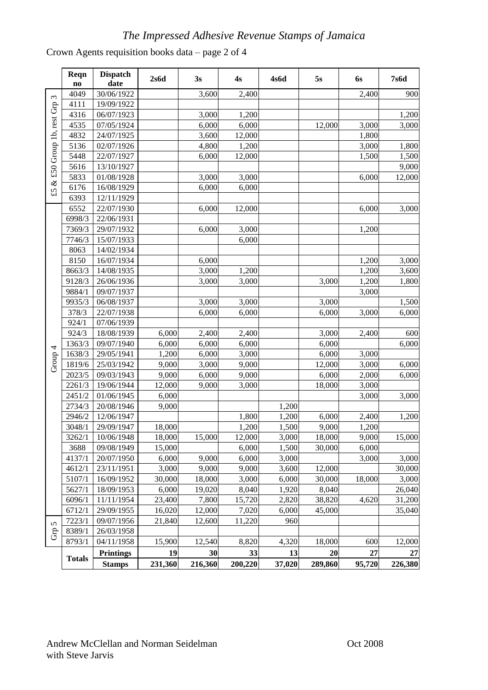Crown Agents requisition books data – page 2 of 4

|                            | Reqn<br>$\mathbf{no}$ | <b>Dispatch</b><br>date           | 2s6d          | 3s            | 4s            | 4s6d         | 5s            | <b>6s</b>    | <b>7s6d</b>   |
|----------------------------|-----------------------|-----------------------------------|---------------|---------------|---------------|--------------|---------------|--------------|---------------|
|                            | 4049                  | 30/06/1922                        |               | 3,600         | 2,400         |              |               | 2,400        | 900           |
| & £50 Group 1b, rest Grp 3 | 4111                  | 19/09/1922                        |               |               |               |              |               |              |               |
|                            | 4316                  | 06/07/1923                        |               | 3,000         | 1,200         |              |               |              | 1,200         |
|                            | 4535                  | 07/05/1924                        |               | 6,000         | 6,000         |              | 12,000        | 3,000        | 3,000         |
|                            | 4832                  | 24/07/1925                        |               | 3,600         | 12,000        |              |               | 1,800        |               |
|                            | 5136                  | 02/07/1926                        |               | 4,800         | 1,200         |              |               | 3,000        | 1,800         |
|                            | 5448                  | 22/07/1927                        |               | 6,000         | 12,000        |              |               | 1,500        | 1,500         |
|                            | 5616                  | 13/10/1927                        |               |               |               |              |               |              | 9,000         |
|                            | 5833                  | 01/08/1928                        |               | 3,000         | 3,000         |              |               | 6,000        | 12,000        |
| $\mathfrak{L}$             | 6176                  | 16/08/1929                        |               | 6,000         | 6,000         |              |               |              |               |
|                            | 6393                  | 12/11/1929                        |               |               |               |              |               |              |               |
|                            | 6552                  | 22/07/1930                        |               | 6,000         | 12,000        |              |               | 6,000        | 3,000         |
|                            | 6998/3                | 22/06/1931                        |               |               |               |              |               |              |               |
|                            | 7369/3                | 29/07/1932                        |               | 6,000         | 3,000         |              |               | 1,200        |               |
|                            | 7746/3                | 15/07/1933                        |               |               | 6,000         |              |               |              |               |
|                            | 8063                  | 14/02/1934                        |               |               |               |              |               |              |               |
|                            | 8150                  | 16/07/1934                        |               | 6,000         |               |              |               | 1,200        | 3,000         |
|                            | 8663/3                | 14/08/1935                        |               | 3,000         | 1,200         |              |               | 1,200        | 3,600         |
|                            | 9128/3                | 26/06/1936                        |               | 3,000         | 3,000         |              | 3,000         | 1,200        | 1,800         |
|                            | 9884/1                | 09/07/1937                        |               |               |               |              |               | 3,000        |               |
|                            | 9935/3                | 06/08/1937                        |               | 3,000         | 3,000         |              | 3,000         |              | 1,500         |
|                            | 378/3                 | 22/07/1938                        |               | 6,000         | 6,000         |              | 6,000         | 3,000        | 6,000         |
|                            | 924/1                 | 07/06/1939                        |               |               |               |              |               |              |               |
|                            | 924/3                 | 18/08/1939                        | 6,000         | 2,400         | 2,400         |              | 3,000         | 2,400        | 600           |
|                            | 1363/3                | 09/07/1940                        | 6,000         | 6,000         | 6,000         |              | 6,000         |              | 6,000         |
|                            | 1638/3                | 29/05/1941                        | 1,200         | 6,000         | 3,000         |              | 6,000         | 3,000        |               |
| Group <sub>4</sub>         | 1819/6                | 25/03/1942                        | 9,000         | 3,000         | 9,000         |              | 12,000        | 3,000        | 6,000         |
|                            | 2023/5                | 09/03/1943                        | 9,000         | 6,000         | 9,000         |              | 6,000         | 2,000        | 6,000         |
|                            | 2261/3                | 19/06/1944                        | 12,000        | 9,000         | 3,000         |              | 18,000        | 3,000        |               |
|                            | 2451/2                | 01/06/1945                        | 6,000         |               |               |              |               | 3,000        | 3,000         |
|                            | 2734/3                | 20/08/1946                        | 9,000         |               |               | 1,200        |               |              |               |
|                            | 2946/2                | 12/06/1947                        |               |               | 1,800         | 1,200        | 6,000         | 2,400        | 1,200         |
|                            | 3048/1                | 29/09/1947                        | 18,000        |               | 1,200         | 1,500        | 9,000         | 1,200        |               |
|                            | 3262/1                | 10/06/1948                        | 18,000        | 15,000        | 12,000        | 3,000        | 18,000        | 9,000        | 15,000        |
|                            | 3688                  | 09/08/1949                        | 15,000        |               | 6,000         | 1,500        | 30,000        | 6,000        |               |
|                            | 4137/1                | 20/07/1950                        | 6,000         | 9,000         | 6,000         | 3,000        |               | 3,000        | 3,000         |
|                            | 4612/1                | 23/11/1951                        | 3,000         | 9,000         | 9,000         | 3,600        | 12,000        |              | 30,000        |
|                            | 5107/1                | 16/09/1952                        | 30,000        | 18,000        | 3,000         | 6,000        | 30,000        | 18,000       | 3,000         |
|                            | 5627/1                | 18/09/1953                        | 6,000         | 19,020        | 8,040         | 1,920        | 8,040         |              | 26,040        |
|                            | 6096/1                | 11/11/1954                        | 23,400        | 7,800         | 15,720        | 2,820        | 38,820        | 4,620        | 31,200        |
|                            | 6712/1                | 29/09/1955                        | 16,020        | 12,000        | 7,020         | 6,000        | 45,000        |              | 35,040        |
| 5                          | 7223/1                | 09/07/1956                        | 21,840        | 12,600        | 11,220        | 960          |               |              |               |
| $G_{\rm T}$                | 8389/1                | 26/03/1958                        |               |               |               |              |               |              |               |
|                            | 8793/1                | 04/11/1958                        | 15,900        | 12,540        | 8,820         | 4,320        | 18,000        | 600          | 12,000        |
|                            | <b>Totals</b>         | <b>Printings</b><br><b>Stamps</b> | 19<br>231,360 | 30<br>216,360 | 33<br>200,220 | 13<br>37,020 | 20<br>289,860 | 27<br>95,720 | 27<br>226,380 |
|                            |                       |                                   |               |               |               |              |               |              |               |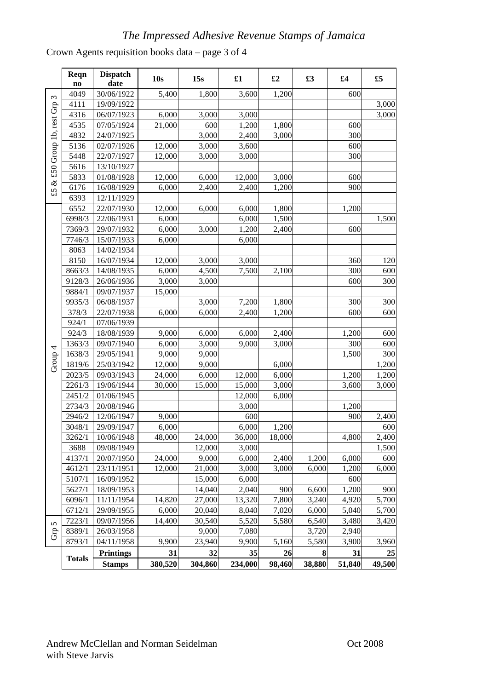Crown Agents requisition books data – page 3 of 4

|                            | Reqn<br>$\mathbf{no}$ | <b>Dispatch</b><br>date | 10s     | 15s     | $\pmb{\pmb{\pounds}}$ 1 | $\pounds 2$ | £3     | £4     | £5     |
|----------------------------|-----------------------|-------------------------|---------|---------|-------------------------|-------------|--------|--------|--------|
|                            | 4049                  | 30/06/1922              | 5,400   | 1,800   | 3,600                   | 1,200       |        | 600    |        |
| & £50 Group 1b, rest Grp 3 | 4111                  | 19/09/1922              |         |         |                         |             |        |        | 3,000  |
|                            | 4316                  | 06/07/1923              | 6,000   | 3,000   | 3,000                   |             |        |        | 3,000  |
|                            | 4535                  | 07/05/1924              | 21,000  | 600     | 1,200                   | 1,800       |        | 600    |        |
|                            | 4832                  | 24/07/1925              |         | 3,000   | 2,400                   | 3,000       |        | 300    |        |
|                            | 5136                  | 02/07/1926              | 12,000  | 3,000   | 3,600                   |             |        | 600    |        |
|                            | 5448                  | 22/07/1927              | 12,000  | 3,000   | 3,000                   |             |        | 300    |        |
|                            | 5616                  | 13/10/1927              |         |         |                         |             |        |        |        |
|                            | 5833                  | 01/08/1928              | 12,000  | 6,000   | 12,000                  | 3,000       |        | 600    |        |
| $\mathfrak{L}$             | 6176                  | 16/08/1929              | 6,000   | 2,400   | 2,400                   | 1,200       |        | 900    |        |
|                            | 6393                  | 12/11/1929              |         |         |                         |             |        |        |        |
|                            | 6552                  | 22/07/1930              | 12,000  | 6,000   | 6,000                   | 1,800       |        | 1,200  |        |
|                            | 6998/3                | 22/06/1931              | 6,000   |         | 6,000                   | 1,500       |        |        | 1,500  |
|                            | 7369/3                | 29/07/1932              | 6,000   | 3,000   | 1,200                   | 2,400       |        | 600    |        |
|                            | 7746/3                | 15/07/1933              | 6,000   |         | 6,000                   |             |        |        |        |
|                            | 8063                  | 14/02/1934              |         |         |                         |             |        |        |        |
|                            | 8150                  | 16/07/1934              | 12,000  | 3,000   | 3,000                   |             |        | 360    | 120    |
|                            | 8663/3                | 14/08/1935              | 6,000   | 4,500   | 7,500                   | 2,100       |        | 300    | 600    |
|                            | 9128/3                | 26/06/1936              | 3,000   | 3,000   |                         |             |        | 600    | 300    |
|                            | 9884/1                | 09/07/1937              | 15,000  |         |                         |             |        |        |        |
|                            | 9935/3                | 06/08/1937              |         | 3,000   | 7,200                   | 1,800       |        | 300    | 300    |
|                            | 378/3                 | 22/07/1938              | 6,000   | 6,000   | 2,400                   | 1,200       |        | 600    | 600    |
|                            | 924/1                 | 07/06/1939              |         |         |                         |             |        |        |        |
|                            | 924/3                 | 18/08/1939              | 9,000   | 6,000   | 6,000                   | 2,400       |        | 1,200  | 600    |
|                            | 1363/3                | 09/07/1940              | 6,000   | 3,000   | 9,000                   | 3,000       |        | 300    | 600    |
| Group 4                    | 1638/3                | 29/05/1941              | 9,000   | 9,000   |                         |             |        | 1,500  | 300    |
|                            | 1819/6                | 25/03/1942              | 12,000  | 9,000   |                         | 6,000       |        |        | 1,200  |
|                            | 2023/5                | 09/03/1943              | 24,000  | 6,000   | 12,000                  | 6,000       |        | 1,200  | 1,200  |
|                            | 2261/3                | 19/06/1944              | 30,000  | 15,000  | 15,000                  | 3,000       |        | 3,600  | 3,000  |
|                            | 2451/2                | 01/06/1945              |         |         | 12,000                  | 6,000       |        |        |        |
|                            | 2734/3                | 20/08/1946              |         |         | 3,000                   |             |        | 1,200  |        |
|                            | 2946/2                | 12/06/1947              | 9,000   |         | 600                     |             |        | 900    | 2,400  |
|                            | 3048/1                | 29/09/1947              | 6,000   |         | 6,000                   | 1,200       |        |        | 600    |
|                            | 3262/1                | 10/06/1948              | 48,000  | 24,000  | 36,000                  | 18,000      |        | 4,800  | 2,400  |
|                            | 3688                  | 09/08/1949              |         | 12,000  | 3,000                   |             |        |        | 1,500  |
|                            | 4137/1                | 20/07/1950              | 24,000  | 9,000   | 6,000                   | 2,400       | 1,200  | 6,000  | 600    |
|                            | 4612/1                | 23/11/1951              | 12,000  | 21,000  | 3,000                   | 3,000       | 6,000  | 1,200  | 6,000  |
|                            | 5107/1                | 16/09/1952              |         | 15,000  | 6,000                   |             |        | 600    |        |
|                            | 5627/1                | 18/09/1953              |         | 14,040  | 2,040                   | 900         | 6,600  | 1,200  | 900    |
|                            | 6096/1                | 11/11/1954              | 14,820  | 27,000  | 13,320                  | 7,800       | 3,240  | 4,920  | 5,700  |
|                            | 6712/1                | 29/09/1955              | 6,000   | 20,040  | 8,040                   | 7,020       | 6,000  | 5,040  | 5,700  |
| 5                          | 7223/1                | 09/07/1956              | 14,400  | 30,540  | 5,520                   | 5,580       | 6,540  | 3,480  | 3,420  |
| $\rm{Gr}$                  | 8389/1                | 26/03/1958              |         | 9,000   | 7,080                   |             | 3,720  | 2,940  |        |
|                            | 8793/1                | 04/11/1958              | 9,900   | 23,940  | 9,900                   | 5,160       | 5,580  | 3,900  | 3,960  |
|                            | <b>Totals</b>         | <b>Printings</b>        | 31      | 32      | 35                      | 26          | 8      | 31     | 25     |
|                            |                       | <b>Stamps</b>           | 380,520 | 304,860 | 234,000                 | 98,460      | 38,880 | 51,840 | 49,500 |